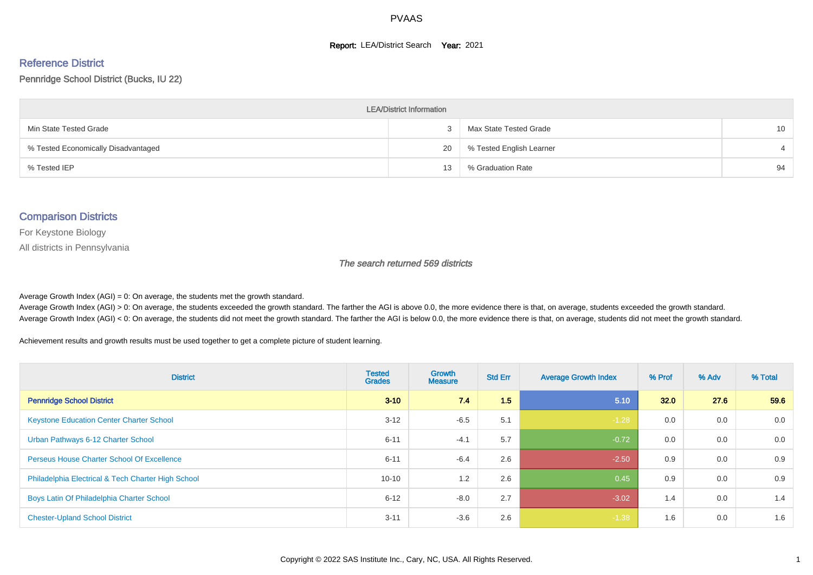#### **Report: LEA/District Search Year: 2021**

#### Reference District

Pennridge School District (Bucks, IU 22)

| <b>LEA/District Information</b>     |    |                          |                 |  |  |  |  |  |  |  |
|-------------------------------------|----|--------------------------|-----------------|--|--|--|--|--|--|--|
| Min State Tested Grade              |    | Max State Tested Grade   | 10 <sup>°</sup> |  |  |  |  |  |  |  |
| % Tested Economically Disadvantaged | 20 | % Tested English Learner |                 |  |  |  |  |  |  |  |
| % Tested IEP                        | 13 | % Graduation Rate        | 94              |  |  |  |  |  |  |  |

#### Comparison Districts

For Keystone Biology

All districts in Pennsylvania

The search returned 569 districts

Average Growth Index  $(AGI) = 0$ : On average, the students met the growth standard.

Average Growth Index (AGI) > 0: On average, the students exceeded the growth standard. The farther the AGI is above 0.0, the more evidence there is that, on average, students exceeded the growth standard. Average Growth Index (AGI) < 0: On average, the students did not meet the growth standard. The farther the AGI is below 0.0, the more evidence there is that, on average, students did not meet the growth standard.

Achievement results and growth results must be used together to get a complete picture of student learning.

| <b>District</b>                                    | <b>Tested</b><br><b>Grades</b> | <b>Growth</b><br><b>Measure</b> | <b>Std Err</b> | <b>Average Growth Index</b> | % Prof | % Adv | % Total |
|----------------------------------------------------|--------------------------------|---------------------------------|----------------|-----------------------------|--------|-------|---------|
| <b>Pennridge School District</b>                   | $3 - 10$                       | 7.4                             | 1.5            | 5.10                        | 32.0   | 27.6  | 59.6    |
| <b>Keystone Education Center Charter School</b>    | $3 - 12$                       | $-6.5$                          | 5.1            | $-1.28$                     | 0.0    | 0.0   | 0.0     |
| Urban Pathways 6-12 Charter School                 | $6 - 11$                       | $-4.1$                          | 5.7            | $-0.72$                     | 0.0    | 0.0   | 0.0     |
| <b>Perseus House Charter School Of Excellence</b>  | $6 - 11$                       | $-6.4$                          | 2.6            | $-2.50$                     | 0.9    | 0.0   | 0.9     |
| Philadelphia Electrical & Tech Charter High School | $10 - 10$                      | 1.2                             | 2.6            | 0.45                        | 0.9    | 0.0   | 0.9     |
| Boys Latin Of Philadelphia Charter School          | $6 - 12$                       | $-8.0$                          | 2.7            | $-3.02$                     | 1.4    | 0.0   | 1.4     |
| <b>Chester-Upland School District</b>              | $3 - 11$                       | $-3.6$                          | 2.6            | $-1.38$                     | 1.6    | 0.0   | 1.6     |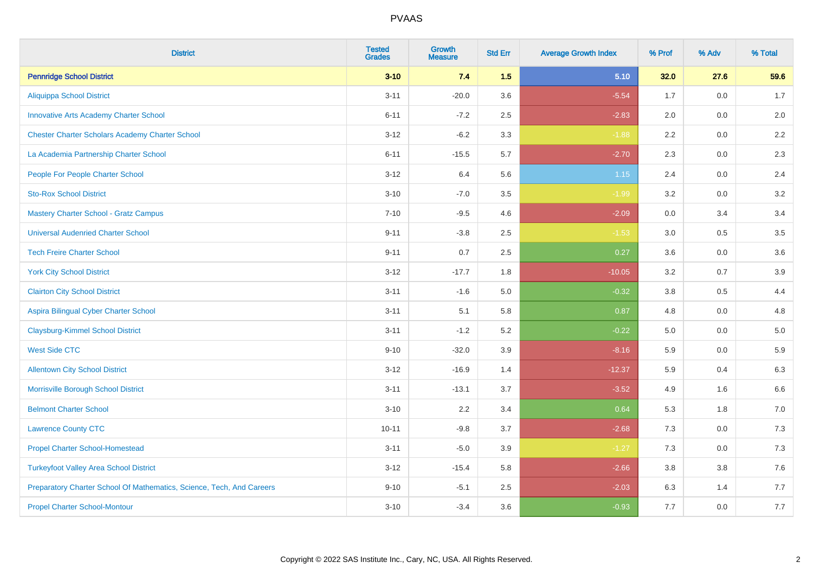| <b>District</b>                                                       | <b>Tested</b><br><b>Grades</b> | <b>Growth</b><br><b>Measure</b> | <b>Std Err</b> | <b>Average Growth Index</b> | % Prof | % Adv   | % Total |
|-----------------------------------------------------------------------|--------------------------------|---------------------------------|----------------|-----------------------------|--------|---------|---------|
| <b>Pennridge School District</b>                                      | $3 - 10$                       | 7.4                             | 1.5            | 5.10                        | 32.0   | 27.6    | 59.6    |
| <b>Aliquippa School District</b>                                      | $3 - 11$                       | $-20.0$                         | 3.6            | $-5.54$                     | 1.7    | 0.0     | 1.7     |
| <b>Innovative Arts Academy Charter School</b>                         | $6 - 11$                       | $-7.2$                          | 2.5            | $-2.83$                     | 2.0    | 0.0     | 2.0     |
| <b>Chester Charter Scholars Academy Charter School</b>                | $3 - 12$                       | $-6.2$                          | 3.3            | $-1.88$                     | 2.2    | $0.0\,$ | $2.2\,$ |
| La Academia Partnership Charter School                                | $6 - 11$                       | $-15.5$                         | 5.7            | $-2.70$                     | 2.3    | 0.0     | 2.3     |
| People For People Charter School                                      | $3 - 12$                       | 6.4                             | 5.6            | $1.15$                      | 2.4    | 0.0     | 2.4     |
| <b>Sto-Rox School District</b>                                        | $3 - 10$                       | $-7.0$                          | 3.5            | $-1.99$                     | 3.2    | $0.0\,$ | 3.2     |
| <b>Mastery Charter School - Gratz Campus</b>                          | $7 - 10$                       | $-9.5$                          | 4.6            | $-2.09$                     | 0.0    | 3.4     | 3.4     |
| <b>Universal Audenried Charter School</b>                             | $9 - 11$                       | $-3.8$                          | 2.5            | $-1.53$                     | 3.0    | 0.5     | 3.5     |
| <b>Tech Freire Charter School</b>                                     | $9 - 11$                       | 0.7                             | $2.5\,$        | 0.27                        | 3.6    | 0.0     | 3.6     |
| <b>York City School District</b>                                      | $3 - 12$                       | $-17.7$                         | 1.8            | $-10.05$                    | 3.2    | 0.7     | 3.9     |
| <b>Clairton City School District</b>                                  | $3 - 11$                       | $-1.6$                          | 5.0            | $-0.32$                     | 3.8    | 0.5     | 4.4     |
| Aspira Bilingual Cyber Charter School                                 | $3 - 11$                       | 5.1                             | 5.8            | 0.87                        | 4.8    | 0.0     | 4.8     |
| <b>Claysburg-Kimmel School District</b>                               | $3 - 11$                       | $-1.2$                          | 5.2            | $-0.22$                     | 5.0    | 0.0     | $5.0$   |
| <b>West Side CTC</b>                                                  | $9 - 10$                       | $-32.0$                         | 3.9            | $-8.16$                     | 5.9    | 0.0     | 5.9     |
| <b>Allentown City School District</b>                                 | $3 - 12$                       | $-16.9$                         | 1.4            | $-12.37$                    | 5.9    | 0.4     | 6.3     |
| Morrisville Borough School District                                   | $3 - 11$                       | $-13.1$                         | 3.7            | $-3.52$                     | 4.9    | 1.6     | 6.6     |
| <b>Belmont Charter School</b>                                         | $3 - 10$                       | 2.2                             | 3.4            | 0.64                        | 5.3    | 1.8     | 7.0     |
| <b>Lawrence County CTC</b>                                            | $10 - 11$                      | $-9.8$                          | 3.7            | $-2.68$                     | 7.3    | 0.0     | 7.3     |
| <b>Propel Charter School-Homestead</b>                                | $3 - 11$                       | $-5.0$                          | 3.9            | $-1.27$                     | 7.3    | 0.0     | $7.3$   |
| <b>Turkeyfoot Valley Area School District</b>                         | $3 - 12$                       | $-15.4$                         | 5.8            | $-2.66$                     | 3.8    | 3.8     | $7.6$   |
| Preparatory Charter School Of Mathematics, Science, Tech, And Careers | $9 - 10$                       | $-5.1$                          | 2.5            | $-2.03$                     | 6.3    | 1.4     | 7.7     |
| <b>Propel Charter School-Montour</b>                                  | $3 - 10$                       | $-3.4$                          | 3.6            | $-0.93$                     | 7.7    | 0.0     | 7.7     |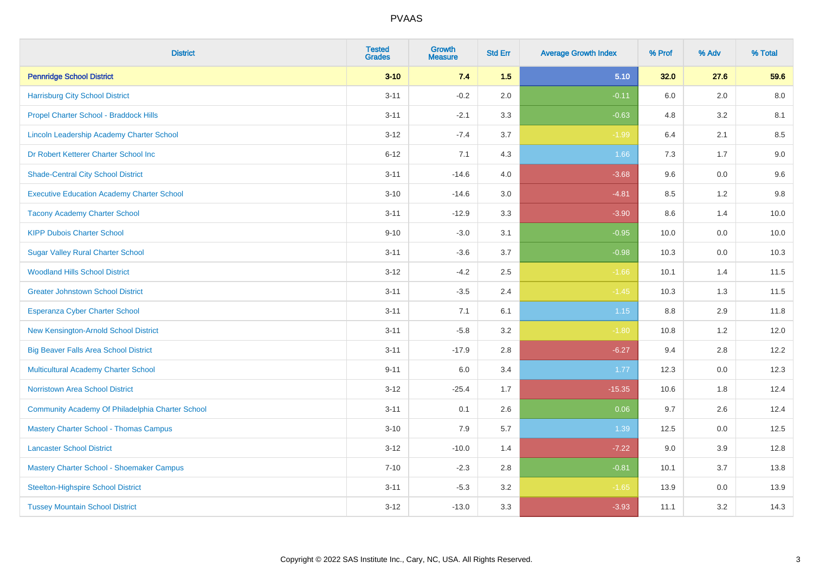| <b>District</b>                                   | <b>Tested</b><br><b>Grades</b> | <b>Growth</b><br><b>Measure</b> | <b>Std Err</b> | <b>Average Growth Index</b> | % Prof | % Adv   | % Total |
|---------------------------------------------------|--------------------------------|---------------------------------|----------------|-----------------------------|--------|---------|---------|
| <b>Pennridge School District</b>                  | $3 - 10$                       | 7.4                             | 1.5            | 5.10                        | 32.0   | 27.6    | 59.6    |
| <b>Harrisburg City School District</b>            | $3 - 11$                       | $-0.2$                          | 2.0            | $-0.11$                     | 6.0    | 2.0     | $8.0\,$ |
| Propel Charter School - Braddock Hills            | $3 - 11$                       | $-2.1$                          | 3.3            | $-0.63$                     | 4.8    | 3.2     | 8.1     |
| Lincoln Leadership Academy Charter School         | $3 - 12$                       | $-7.4$                          | 3.7            | $-1.99$                     | 6.4    | 2.1     | 8.5     |
| Dr Robert Ketterer Charter School Inc             | $6 - 12$                       | 7.1                             | 4.3            | 1.66                        | 7.3    | 1.7     | 9.0     |
| <b>Shade-Central City School District</b>         | $3 - 11$                       | $-14.6$                         | 4.0            | $-3.68$                     | 9.6    | 0.0     | 9.6     |
| <b>Executive Education Academy Charter School</b> | $3 - 10$                       | $-14.6$                         | 3.0            | $-4.81$                     | 8.5    | 1.2     | 9.8     |
| <b>Tacony Academy Charter School</b>              | $3 - 11$                       | $-12.9$                         | 3.3            | $-3.90$                     | 8.6    | 1.4     | 10.0    |
| <b>KIPP Dubois Charter School</b>                 | $9 - 10$                       | $-3.0$                          | 3.1            | $-0.95$                     | 10.0   | 0.0     | 10.0    |
| <b>Sugar Valley Rural Charter School</b>          | $3 - 11$                       | $-3.6$                          | 3.7            | $-0.98$                     | 10.3   | 0.0     | 10.3    |
| <b>Woodland Hills School District</b>             | $3 - 12$                       | $-4.2$                          | 2.5            | $-1.66$                     | 10.1   | 1.4     | 11.5    |
| <b>Greater Johnstown School District</b>          | $3 - 11$                       | $-3.5$                          | 2.4            | $-1.45$                     | 10.3   | 1.3     | 11.5    |
| Esperanza Cyber Charter School                    | $3 - 11$                       | 7.1                             | 6.1            | $1.15$                      | 8.8    | 2.9     | 11.8    |
| New Kensington-Arnold School District             | $3 - 11$                       | $-5.8$                          | 3.2            | $-1.80$                     | 10.8   | 1.2     | 12.0    |
| <b>Big Beaver Falls Area School District</b>      | $3 - 11$                       | $-17.9$                         | 2.8            | $-6.27$                     | 9.4    | 2.8     | 12.2    |
| <b>Multicultural Academy Charter School</b>       | $9 - 11$                       | 6.0                             | 3.4            | 1.77                        | 12.3   | $0.0\,$ | 12.3    |
| <b>Norristown Area School District</b>            | $3 - 12$                       | $-25.4$                         | 1.7            | $-15.35$                    | 10.6   | 1.8     | 12.4    |
| Community Academy Of Philadelphia Charter School  | $3 - 11$                       | 0.1                             | 2.6            | 0.06                        | 9.7    | 2.6     | 12.4    |
| <b>Mastery Charter School - Thomas Campus</b>     | $3 - 10$                       | 7.9                             | 5.7            | 1.39                        | 12.5   | 0.0     | 12.5    |
| <b>Lancaster School District</b>                  | $3 - 12$                       | $-10.0$                         | 1.4            | $-7.22$                     | 9.0    | 3.9     | 12.8    |
| Mastery Charter School - Shoemaker Campus         | $7 - 10$                       | $-2.3$                          | 2.8            | $-0.81$                     | 10.1   | 3.7     | 13.8    |
| <b>Steelton-Highspire School District</b>         | $3 - 11$                       | $-5.3$                          | 3.2            | $-1.65$                     | 13.9   | $0.0\,$ | 13.9    |
| <b>Tussey Mountain School District</b>            | $3 - 12$                       | $-13.0$                         | 3.3            | $-3.93$                     | 11.1   | 3.2     | 14.3    |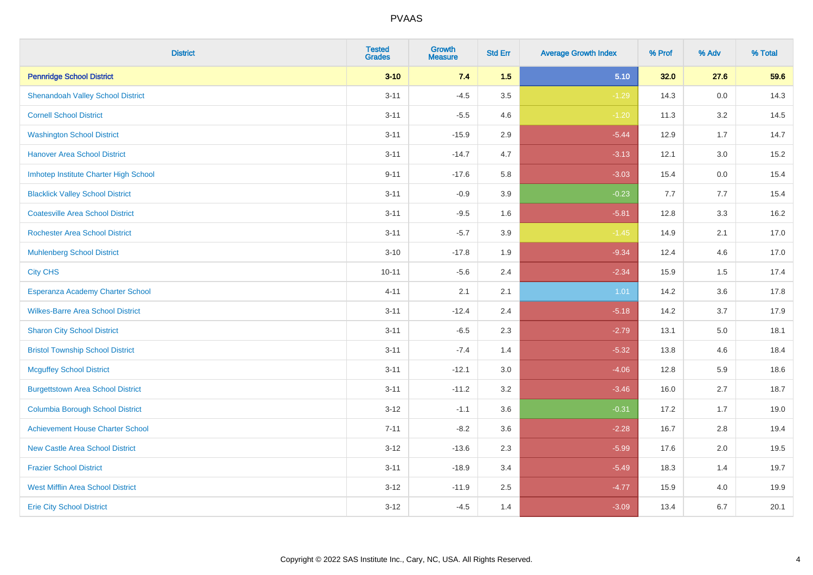| <b>District</b>                          | <b>Tested</b><br><b>Grades</b> | <b>Growth</b><br><b>Measure</b> | <b>Std Err</b> | <b>Average Growth Index</b> | % Prof | % Adv | % Total |
|------------------------------------------|--------------------------------|---------------------------------|----------------|-----------------------------|--------|-------|---------|
| <b>Pennridge School District</b>         | $3 - 10$                       | 7.4                             | 1.5            | 5.10                        | 32.0   | 27.6  | 59.6    |
| <b>Shenandoah Valley School District</b> | $3 - 11$                       | $-4.5$                          | 3.5            | $-1.29$                     | 14.3   | 0.0   | 14.3    |
| <b>Cornell School District</b>           | $3 - 11$                       | $-5.5$                          | 4.6            | $-1.20$                     | 11.3   | 3.2   | 14.5    |
| <b>Washington School District</b>        | $3 - 11$                       | $-15.9$                         | 2.9            | $-5.44$                     | 12.9   | 1.7   | 14.7    |
| <b>Hanover Area School District</b>      | $3 - 11$                       | $-14.7$                         | 4.7            | $-3.13$                     | 12.1   | 3.0   | 15.2    |
| Imhotep Institute Charter High School    | $9 - 11$                       | $-17.6$                         | 5.8            | $-3.03$                     | 15.4   | 0.0   | 15.4    |
| <b>Blacklick Valley School District</b>  | $3 - 11$                       | $-0.9$                          | 3.9            | $-0.23$                     | 7.7    | 7.7   | 15.4    |
| <b>Coatesville Area School District</b>  | $3 - 11$                       | $-9.5$                          | 1.6            | $-5.81$                     | 12.8   | 3.3   | 16.2    |
| <b>Rochester Area School District</b>    | $3 - 11$                       | $-5.7$                          | 3.9            | $-1.45$                     | 14.9   | 2.1   | 17.0    |
| <b>Muhlenberg School District</b>        | $3 - 10$                       | $-17.8$                         | 1.9            | $-9.34$                     | 12.4   | 4.6   | 17.0    |
| <b>City CHS</b>                          | $10 - 11$                      | $-5.6$                          | 2.4            | $-2.34$                     | 15.9   | 1.5   | 17.4    |
| Esperanza Academy Charter School         | $4 - 11$                       | 2.1                             | 2.1            | 1.01                        | 14.2   | 3.6   | 17.8    |
| <b>Wilkes-Barre Area School District</b> | $3 - 11$                       | $-12.4$                         | 2.4            | $-5.18$                     | 14.2   | 3.7   | 17.9    |
| <b>Sharon City School District</b>       | $3 - 11$                       | $-6.5$                          | 2.3            | $-2.79$                     | 13.1   | 5.0   | 18.1    |
| <b>Bristol Township School District</b>  | $3 - 11$                       | $-7.4$                          | 1.4            | $-5.32$                     | 13.8   | 4.6   | 18.4    |
| <b>Mcguffey School District</b>          | $3 - 11$                       | $-12.1$                         | 3.0            | $-4.06$                     | 12.8   | 5.9   | 18.6    |
| <b>Burgettstown Area School District</b> | $3 - 11$                       | $-11.2$                         | 3.2            | $-3.46$                     | 16.0   | 2.7   | 18.7    |
| <b>Columbia Borough School District</b>  | $3 - 12$                       | $-1.1$                          | 3.6            | $-0.31$                     | 17.2   | 1.7   | 19.0    |
| <b>Achievement House Charter School</b>  | $7 - 11$                       | $-8.2$                          | 3.6            | $-2.28$                     | 16.7   | 2.8   | 19.4    |
| <b>New Castle Area School District</b>   | $3 - 12$                       | $-13.6$                         | 2.3            | $-5.99$                     | 17.6   | 2.0   | 19.5    |
| <b>Frazier School District</b>           | $3 - 11$                       | $-18.9$                         | 3.4            | $-5.49$                     | 18.3   | 1.4   | 19.7    |
| <b>West Mifflin Area School District</b> | $3 - 12$                       | $-11.9$                         | 2.5            | $-4.77$                     | 15.9   | 4.0   | 19.9    |
| <b>Erie City School District</b>         | $3 - 12$                       | $-4.5$                          | 1.4            | $-3.09$                     | 13.4   | 6.7   | 20.1    |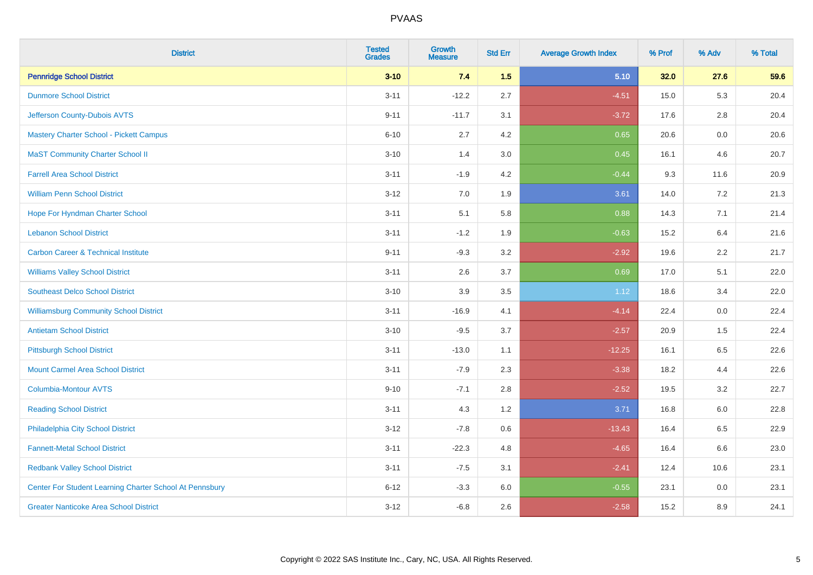| <b>District</b>                                         | <b>Tested</b><br><b>Grades</b> | Growth<br><b>Measure</b> | <b>Std Err</b> | <b>Average Growth Index</b> | % Prof | % Adv   | % Total |
|---------------------------------------------------------|--------------------------------|--------------------------|----------------|-----------------------------|--------|---------|---------|
| <b>Pennridge School District</b>                        | $3 - 10$                       | 7.4                      | 1.5            | 5.10                        | 32.0   | 27.6    | 59.6    |
| <b>Dunmore School District</b>                          | $3 - 11$                       | $-12.2$                  | 2.7            | $-4.51$                     | 15.0   | 5.3     | 20.4    |
| Jefferson County-Dubois AVTS                            | $9 - 11$                       | $-11.7$                  | 3.1            | $-3.72$                     | 17.6   | 2.8     | 20.4    |
| <b>Mastery Charter School - Pickett Campus</b>          | $6 - 10$                       | 2.7                      | $4.2\,$        | 0.65                        | 20.6   | 0.0     | 20.6    |
| <b>MaST Community Charter School II</b>                 | $3 - 10$                       | 1.4                      | 3.0            | 0.45                        | 16.1   | 4.6     | 20.7    |
| <b>Farrell Area School District</b>                     | $3 - 11$                       | $-1.9$                   | 4.2            | $-0.44$                     | 9.3    | 11.6    | 20.9    |
| <b>William Penn School District</b>                     | $3 - 12$                       | $7.0\,$                  | 1.9            | 3.61                        | 14.0   | 7.2     | 21.3    |
| Hope For Hyndman Charter School                         | $3 - 11$                       | 5.1                      | 5.8            | 0.88                        | 14.3   | 7.1     | 21.4    |
| <b>Lebanon School District</b>                          | $3 - 11$                       | $-1.2$                   | 1.9            | $-0.63$                     | 15.2   | 6.4     | 21.6    |
| <b>Carbon Career &amp; Technical Institute</b>          | $9 - 11$                       | $-9.3$                   | 3.2            | $-2.92$                     | 19.6   | $2.2\,$ | 21.7    |
| <b>Williams Valley School District</b>                  | $3 - 11$                       | 2.6                      | 3.7            | 0.69                        | 17.0   | 5.1     | 22.0    |
| <b>Southeast Delco School District</b>                  | $3 - 10$                       | 3.9                      | 3.5            | 1.12                        | 18.6   | 3.4     | 22.0    |
| <b>Williamsburg Community School District</b>           | $3 - 11$                       | $-16.9$                  | 4.1            | $-4.14$                     | 22.4   | 0.0     | 22.4    |
| <b>Antietam School District</b>                         | $3 - 10$                       | $-9.5$                   | 3.7            | $-2.57$                     | 20.9   | 1.5     | 22.4    |
| <b>Pittsburgh School District</b>                       | $3 - 11$                       | $-13.0$                  | 1.1            | $-12.25$                    | 16.1   | 6.5     | 22.6    |
| <b>Mount Carmel Area School District</b>                | $3 - 11$                       | $-7.9$                   | 2.3            | $-3.38$                     | 18.2   | 4.4     | 22.6    |
| <b>Columbia-Montour AVTS</b>                            | $9 - 10$                       | $-7.1$                   | 2.8            | $-2.52$                     | 19.5   | 3.2     | 22.7    |
| <b>Reading School District</b>                          | $3 - 11$                       | 4.3                      | 1.2            | 3.71                        | 16.8   | $6.0\,$ | 22.8    |
| Philadelphia City School District                       | $3 - 12$                       | $-7.8$                   | 0.6            | $-13.43$                    | 16.4   | 6.5     | 22.9    |
| <b>Fannett-Metal School District</b>                    | $3 - 11$                       | $-22.3$                  | 4.8            | $-4.65$                     | 16.4   | 6.6     | 23.0    |
| <b>Redbank Valley School District</b>                   | $3 - 11$                       | $-7.5$                   | 3.1            | $-2.41$                     | 12.4   | 10.6    | 23.1    |
| Center For Student Learning Charter School At Pennsbury | $6 - 12$                       | $-3.3$                   | 6.0            | $-0.55$                     | 23.1   | 0.0     | 23.1    |
| <b>Greater Nanticoke Area School District</b>           | $3 - 12$                       | $-6.8$                   | 2.6            | $-2.58$                     | 15.2   | 8.9     | 24.1    |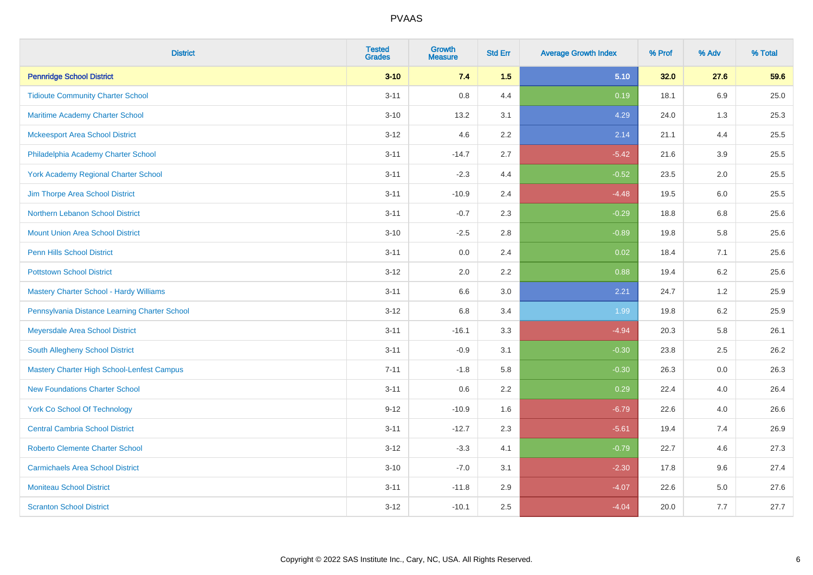| <b>District</b>                                   | <b>Tested</b><br><b>Grades</b> | <b>Growth</b><br><b>Measure</b> | <b>Std Err</b> | <b>Average Growth Index</b> | % Prof | % Adv | % Total |
|---------------------------------------------------|--------------------------------|---------------------------------|----------------|-----------------------------|--------|-------|---------|
| <b>Pennridge School District</b>                  | $3 - 10$                       | 7.4                             | 1.5            | 5.10                        | 32.0   | 27.6  | 59.6    |
| <b>Tidioute Community Charter School</b>          | $3 - 11$                       | 0.8                             | 4.4            | 0.19                        | 18.1   | 6.9   | 25.0    |
| Maritime Academy Charter School                   | $3 - 10$                       | 13.2                            | 3.1            | 4.29                        | 24.0   | 1.3   | 25.3    |
| <b>Mckeesport Area School District</b>            | $3 - 12$                       | 4.6                             | 2.2            | 2.14                        | 21.1   | 4.4   | 25.5    |
| Philadelphia Academy Charter School               | $3 - 11$                       | $-14.7$                         | 2.7            | $-5.42$                     | 21.6   | 3.9   | 25.5    |
| <b>York Academy Regional Charter School</b>       | $3 - 11$                       | $-2.3$                          | 4.4            | $-0.52$                     | 23.5   | 2.0   | 25.5    |
| Jim Thorpe Area School District                   | $3 - 11$                       | $-10.9$                         | 2.4            | $-4.48$                     | 19.5   | 6.0   | 25.5    |
| Northern Lebanon School District                  | $3 - 11$                       | $-0.7$                          | 2.3            | $-0.29$                     | 18.8   | 6.8   | 25.6    |
| <b>Mount Union Area School District</b>           | $3 - 10$                       | $-2.5$                          | 2.8            | $-0.89$                     | 19.8   | 5.8   | 25.6    |
| <b>Penn Hills School District</b>                 | $3 - 11$                       | 0.0                             | 2.4            | 0.02                        | 18.4   | 7.1   | 25.6    |
| <b>Pottstown School District</b>                  | $3 - 12$                       | 2.0                             | 2.2            | 0.88                        | 19.4   | 6.2   | 25.6    |
| Mastery Charter School - Hardy Williams           | $3 - 11$                       | 6.6                             | 3.0            | 2.21                        | 24.7   | 1.2   | 25.9    |
| Pennsylvania Distance Learning Charter School     | $3 - 12$                       | 6.8                             | 3.4            | 1.99                        | 19.8   | 6.2   | 25.9    |
| Meyersdale Area School District                   | $3 - 11$                       | $-16.1$                         | 3.3            | $-4.94$                     | 20.3   | 5.8   | 26.1    |
| South Allegheny School District                   | $3 - 11$                       | $-0.9$                          | 3.1            | $-0.30$                     | 23.8   | 2.5   | 26.2    |
| <b>Mastery Charter High School-Lenfest Campus</b> | $7 - 11$                       | $-1.8$                          | 5.8            | $-0.30$                     | 26.3   | 0.0   | 26.3    |
| <b>New Foundations Charter School</b>             | $3 - 11$                       | 0.6                             | 2.2            | 0.29                        | 22.4   | 4.0   | 26.4    |
| <b>York Co School Of Technology</b>               | $9 - 12$                       | $-10.9$                         | 1.6            | $-6.79$                     | 22.6   | 4.0   | 26.6    |
| <b>Central Cambria School District</b>            | $3 - 11$                       | $-12.7$                         | 2.3            | $-5.61$                     | 19.4   | 7.4   | 26.9    |
| <b>Roberto Clemente Charter School</b>            | $3 - 12$                       | $-3.3$                          | 4.1            | $-0.79$                     | 22.7   | 4.6   | 27.3    |
| <b>Carmichaels Area School District</b>           | $3 - 10$                       | $-7.0$                          | 3.1            | $-2.30$                     | 17.8   | 9.6   | 27.4    |
| <b>Moniteau School District</b>                   | $3 - 11$                       | $-11.8$                         | 2.9            | $-4.07$                     | 22.6   | 5.0   | 27.6    |
| <b>Scranton School District</b>                   | $3 - 12$                       | $-10.1$                         | 2.5            | $-4.04$                     | 20.0   | 7.7   | 27.7    |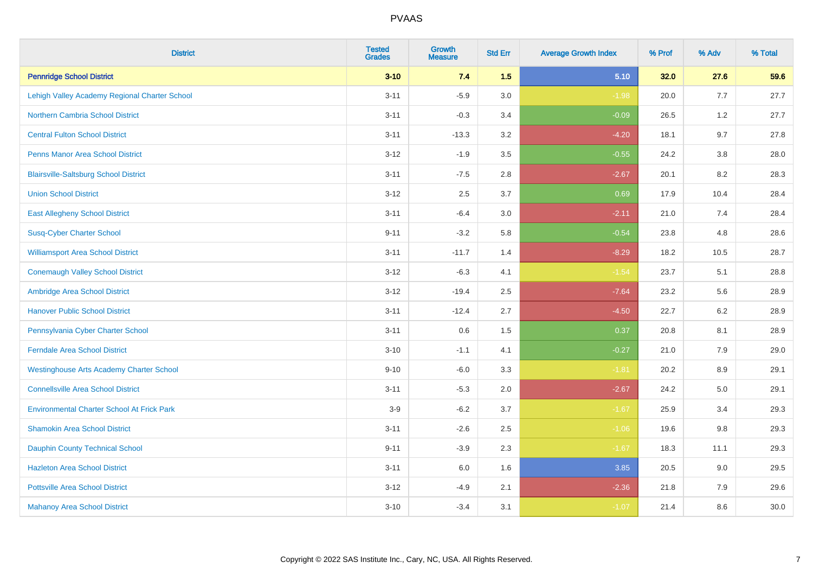| <b>District</b>                                   | <b>Tested</b><br><b>Grades</b> | Growth<br><b>Measure</b> | <b>Std Err</b> | <b>Average Growth Index</b> | % Prof | % Adv   | % Total |
|---------------------------------------------------|--------------------------------|--------------------------|----------------|-----------------------------|--------|---------|---------|
| <b>Pennridge School District</b>                  | $3 - 10$                       | 7.4                      | 1.5            | 5.10                        | 32.0   | 27.6    | 59.6    |
| Lehigh Valley Academy Regional Charter School     | $3 - 11$                       | $-5.9$                   | 3.0            | $-1.98$                     | 20.0   | 7.7     | 27.7    |
| <b>Northern Cambria School District</b>           | $3 - 11$                       | $-0.3$                   | 3.4            | $-0.09$                     | 26.5   | 1.2     | 27.7    |
| <b>Central Fulton School District</b>             | $3 - 11$                       | $-13.3$                  | 3.2            | $-4.20$                     | 18.1   | 9.7     | 27.8    |
| <b>Penns Manor Area School District</b>           | $3 - 12$                       | $-1.9$                   | 3.5            | $-0.55$                     | 24.2   | 3.8     | 28.0    |
| <b>Blairsville-Saltsburg School District</b>      | $3 - 11$                       | $-7.5$                   | 2.8            | $-2.67$                     | 20.1   | 8.2     | 28.3    |
| <b>Union School District</b>                      | $3 - 12$                       | 2.5                      | 3.7            | 0.69                        | 17.9   | 10.4    | 28.4    |
| <b>East Allegheny School District</b>             | $3 - 11$                       | $-6.4$                   | 3.0            | $-2.11$                     | 21.0   | 7.4     | 28.4    |
| <b>Susq-Cyber Charter School</b>                  | $9 - 11$                       | $-3.2$                   | 5.8            | $-0.54$                     | 23.8   | 4.8     | 28.6    |
| <b>Williamsport Area School District</b>          | $3 - 11$                       | $-11.7$                  | 1.4            | $-8.29$                     | 18.2   | 10.5    | 28.7    |
| <b>Conemaugh Valley School District</b>           | $3 - 12$                       | $-6.3$                   | 4.1            | $-1.54$                     | 23.7   | 5.1     | 28.8    |
| Ambridge Area School District                     | $3 - 12$                       | $-19.4$                  | 2.5            | $-7.64$                     | 23.2   | 5.6     | 28.9    |
| <b>Hanover Public School District</b>             | $3 - 11$                       | $-12.4$                  | 2.7            | $-4.50$                     | 22.7   | $6.2\,$ | 28.9    |
| Pennsylvania Cyber Charter School                 | $3 - 11$                       | 0.6                      | 1.5            | 0.37                        | 20.8   | 8.1     | 28.9    |
| <b>Ferndale Area School District</b>              | $3 - 10$                       | $-1.1$                   | 4.1            | $-0.27$                     | 21.0   | 7.9     | 29.0    |
| <b>Westinghouse Arts Academy Charter School</b>   | $9 - 10$                       | $-6.0$                   | 3.3            | $-1.81$                     | 20.2   | 8.9     | 29.1    |
| <b>Connellsville Area School District</b>         | $3 - 11$                       | $-5.3$                   | 2.0            | $-2.67$                     | 24.2   | 5.0     | 29.1    |
| <b>Environmental Charter School At Frick Park</b> | $3-9$                          | $-6.2$                   | 3.7            | $-1.67$                     | 25.9   | 3.4     | 29.3    |
| <b>Shamokin Area School District</b>              | $3 - 11$                       | $-2.6$                   | 2.5            | $-1.06$                     | 19.6   | 9.8     | 29.3    |
| <b>Dauphin County Technical School</b>            | $9 - 11$                       | $-3.9$                   | 2.3            | $-1.67$                     | 18.3   | 11.1    | 29.3    |
| <b>Hazleton Area School District</b>              | $3 - 11$                       | 6.0                      | 1.6            | 3.85                        | 20.5   | 9.0     | 29.5    |
| <b>Pottsville Area School District</b>            | $3 - 12$                       | $-4.9$                   | 2.1            | $-2.36$                     | 21.8   | 7.9     | 29.6    |
| <b>Mahanoy Area School District</b>               | $3 - 10$                       | $-3.4$                   | 3.1            | $-1.07$                     | 21.4   | 8.6     | 30.0    |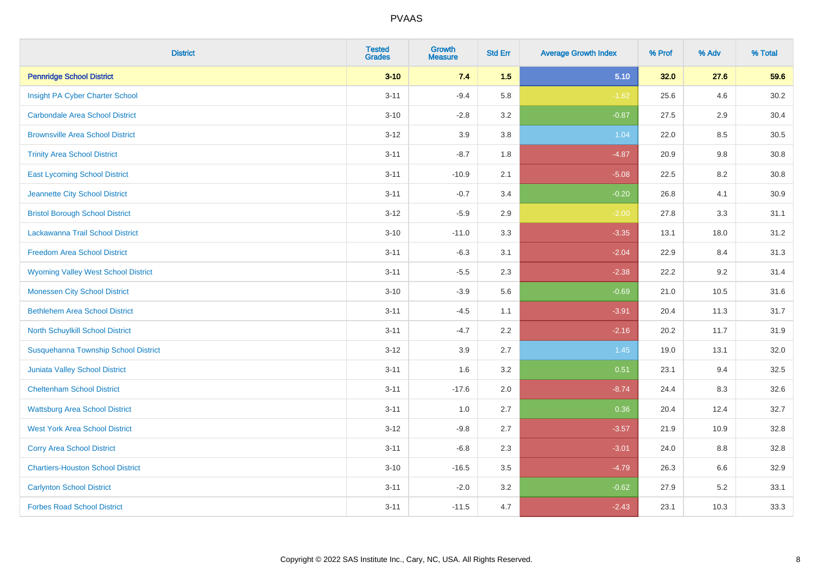| <b>District</b>                             | <b>Tested</b><br><b>Grades</b> | Growth<br><b>Measure</b> | <b>Std Err</b> | <b>Average Growth Index</b> | % Prof | % Adv   | % Total  |
|---------------------------------------------|--------------------------------|--------------------------|----------------|-----------------------------|--------|---------|----------|
| <b>Pennridge School District</b>            | $3 - 10$                       | 7.4                      | 1.5            | 5.10                        | 32.0   | 27.6    | 59.6     |
| Insight PA Cyber Charter School             | $3 - 11$                       | $-9.4$                   | 5.8            | $-1.62$                     | 25.6   | 4.6     | 30.2     |
| <b>Carbondale Area School District</b>      | $3 - 10$                       | $-2.8$                   | 3.2            | $-0.87$                     | 27.5   | 2.9     | 30.4     |
| <b>Brownsville Area School District</b>     | $3 - 12$                       | 3.9                      | 3.8            | 1.04                        | 22.0   | $8.5\,$ | $30.5\,$ |
| <b>Trinity Area School District</b>         | $3 - 11$                       | $-8.7$                   | 1.8            | $-4.87$                     | 20.9   | 9.8     | 30.8     |
| <b>East Lycoming School District</b>        | $3 - 11$                       | $-10.9$                  | 2.1            | $-5.08$                     | 22.5   | 8.2     | 30.8     |
| Jeannette City School District              | $3 - 11$                       | $-0.7$                   | 3.4            | $-0.20$                     | 26.8   | 4.1     | 30.9     |
| <b>Bristol Borough School District</b>      | $3 - 12$                       | $-5.9$                   | 2.9            | $-2.00$                     | 27.8   | 3.3     | 31.1     |
| Lackawanna Trail School District            | $3 - 10$                       | $-11.0$                  | 3.3            | $-3.35$                     | 13.1   | 18.0    | 31.2     |
| <b>Freedom Area School District</b>         | $3 - 11$                       | $-6.3$                   | 3.1            | $-2.04$                     | 22.9   | 8.4     | 31.3     |
| <b>Wyoming Valley West School District</b>  | $3 - 11$                       | $-5.5$                   | 2.3            | $-2.38$                     | 22.2   | 9.2     | 31.4     |
| <b>Monessen City School District</b>        | $3 - 10$                       | $-3.9$                   | 5.6            | $-0.69$                     | 21.0   | 10.5    | 31.6     |
| <b>Bethlehem Area School District</b>       | $3 - 11$                       | $-4.5$                   | 1.1            | $-3.91$                     | 20.4   | 11.3    | 31.7     |
| North Schuylkill School District            | $3 - 11$                       | $-4.7$                   | 2.2            | $-2.16$                     | 20.2   | 11.7    | 31.9     |
| <b>Susquehanna Township School District</b> | $3 - 12$                       | 3.9                      | 2.7            | 1.45                        | 19.0   | 13.1    | 32.0     |
| <b>Juniata Valley School District</b>       | $3 - 11$                       | 1.6                      | 3.2            | 0.51                        | 23.1   | 9.4     | 32.5     |
| <b>Cheltenham School District</b>           | $3 - 11$                       | $-17.6$                  | 2.0            | $-8.74$                     | 24.4   | 8.3     | 32.6     |
| <b>Wattsburg Area School District</b>       | $3 - 11$                       | 1.0                      | 2.7            | 0.36                        | 20.4   | 12.4    | 32.7     |
| <b>West York Area School District</b>       | $3 - 12$                       | $-9.8$                   | 2.7            | $-3.57$                     | 21.9   | 10.9    | 32.8     |
| <b>Corry Area School District</b>           | $3 - 11$                       | $-6.8$                   | 2.3            | $-3.01$                     | 24.0   | 8.8     | 32.8     |
| <b>Chartiers-Houston School District</b>    | $3 - 10$                       | $-16.5$                  | 3.5            | $-4.79$                     | 26.3   | 6.6     | 32.9     |
| <b>Carlynton School District</b>            | $3 - 11$                       | $-2.0$                   | 3.2            | $-0.62$                     | 27.9   | 5.2     | 33.1     |
| <b>Forbes Road School District</b>          | $3 - 11$                       | $-11.5$                  | 4.7            | $-2.43$                     | 23.1   | 10.3    | 33.3     |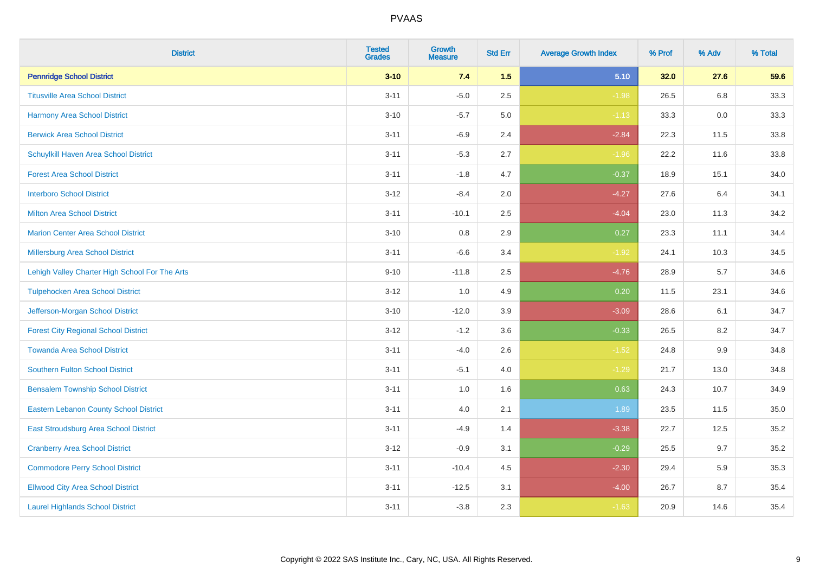| <b>District</b>                                | <b>Tested</b><br><b>Grades</b> | <b>Growth</b><br><b>Measure</b> | <b>Std Err</b> | <b>Average Growth Index</b> | % Prof | % Adv | % Total |
|------------------------------------------------|--------------------------------|---------------------------------|----------------|-----------------------------|--------|-------|---------|
| <b>Pennridge School District</b>               | $3 - 10$                       | 7.4                             | 1.5            | 5.10                        | 32.0   | 27.6  | 59.6    |
| <b>Titusville Area School District</b>         | $3 - 11$                       | $-5.0$                          | 2.5            | $-1.98$                     | 26.5   | 6.8   | 33.3    |
| Harmony Area School District                   | $3 - 10$                       | $-5.7$                          | 5.0            | $-1.13$                     | 33.3   | 0.0   | 33.3    |
| <b>Berwick Area School District</b>            | $3 - 11$                       | $-6.9$                          | 2.4            | $-2.84$                     | 22.3   | 11.5  | 33.8    |
| Schuylkill Haven Area School District          | $3 - 11$                       | $-5.3$                          | 2.7            | $-1.96$                     | 22.2   | 11.6  | 33.8    |
| <b>Forest Area School District</b>             | $3 - 11$                       | $-1.8$                          | 4.7            | $-0.37$                     | 18.9   | 15.1  | 34.0    |
| <b>Interboro School District</b>               | $3 - 12$                       | $-8.4$                          | 2.0            | $-4.27$                     | 27.6   | 6.4   | 34.1    |
| <b>Milton Area School District</b>             | $3 - 11$                       | $-10.1$                         | 2.5            | $-4.04$                     | 23.0   | 11.3  | 34.2    |
| <b>Marion Center Area School District</b>      | $3 - 10$                       | 0.8                             | 2.9            | 0.27                        | 23.3   | 11.1  | 34.4    |
| Millersburg Area School District               | $3 - 11$                       | $-6.6$                          | 3.4            | $-1.92$                     | 24.1   | 10.3  | 34.5    |
| Lehigh Valley Charter High School For The Arts | $9 - 10$                       | $-11.8$                         | 2.5            | $-4.76$                     | 28.9   | 5.7   | 34.6    |
| <b>Tulpehocken Area School District</b>        | $3 - 12$                       | 1.0                             | 4.9            | 0.20                        | 11.5   | 23.1  | 34.6    |
| Jefferson-Morgan School District               | $3 - 10$                       | $-12.0$                         | 3.9            | $-3.09$                     | 28.6   | 6.1   | 34.7    |
| <b>Forest City Regional School District</b>    | $3 - 12$                       | $-1.2$                          | 3.6            | $-0.33$                     | 26.5   | 8.2   | 34.7    |
| <b>Towanda Area School District</b>            | $3 - 11$                       | $-4.0$                          | 2.6            | $-1.52$                     | 24.8   | 9.9   | 34.8    |
| <b>Southern Fulton School District</b>         | $3 - 11$                       | $-5.1$                          | 4.0            | $-1.29$                     | 21.7   | 13.0  | 34.8    |
| <b>Bensalem Township School District</b>       | $3 - 11$                       | 1.0                             | 1.6            | 0.63                        | 24.3   | 10.7  | 34.9    |
| <b>Eastern Lebanon County School District</b>  | $3 - 11$                       | 4.0                             | 2.1            | 1.89                        | 23.5   | 11.5  | 35.0    |
| East Stroudsburg Area School District          | $3 - 11$                       | $-4.9$                          | 1.4            | $-3.38$                     | 22.7   | 12.5  | 35.2    |
| <b>Cranberry Area School District</b>          | $3 - 12$                       | $-0.9$                          | 3.1            | $-0.29$                     | 25.5   | 9.7   | 35.2    |
| <b>Commodore Perry School District</b>         | $3 - 11$                       | $-10.4$                         | 4.5            | $-2.30$                     | 29.4   | 5.9   | 35.3    |
| <b>Ellwood City Area School District</b>       | $3 - 11$                       | $-12.5$                         | 3.1            | $-4.00$                     | 26.7   | 8.7   | 35.4    |
| <b>Laurel Highlands School District</b>        | $3 - 11$                       | $-3.8$                          | 2.3            | $-1.63$                     | 20.9   | 14.6  | 35.4    |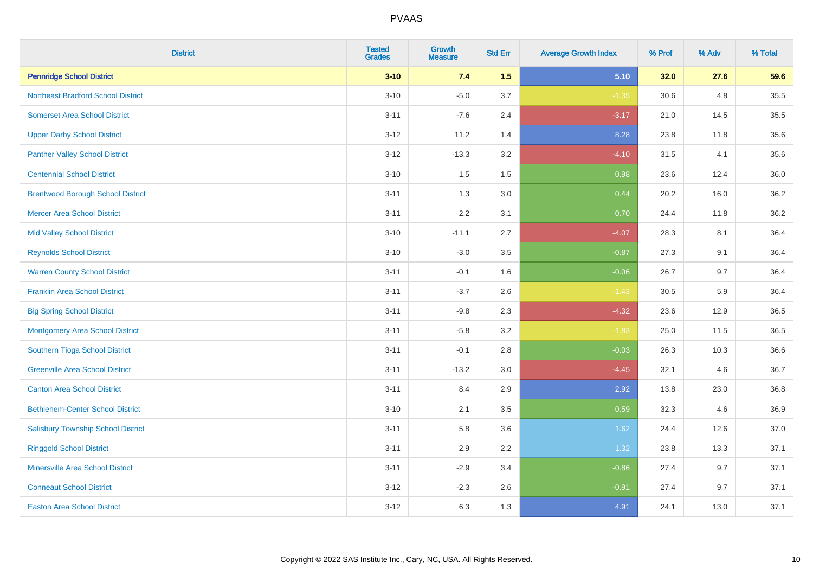| <b>District</b>                           | <b>Tested</b><br><b>Grades</b> | <b>Growth</b><br><b>Measure</b> | <b>Std Err</b> | <b>Average Growth Index</b> | % Prof | % Adv | % Total |
|-------------------------------------------|--------------------------------|---------------------------------|----------------|-----------------------------|--------|-------|---------|
| <b>Pennridge School District</b>          | $3 - 10$                       | 7.4                             | 1.5            | 5.10                        | 32.0   | 27.6  | 59.6    |
| <b>Northeast Bradford School District</b> | $3 - 10$                       | $-5.0$                          | 3.7            | $-1.35$                     | 30.6   | 4.8   | 35.5    |
| <b>Somerset Area School District</b>      | $3 - 11$                       | $-7.6$                          | 2.4            | $-3.17$                     | 21.0   | 14.5  | 35.5    |
| <b>Upper Darby School District</b>        | $3 - 12$                       | 11.2                            | 1.4            | 8.28                        | 23.8   | 11.8  | 35.6    |
| <b>Panther Valley School District</b>     | $3 - 12$                       | $-13.3$                         | 3.2            | $-4.10$                     | 31.5   | 4.1   | 35.6    |
| <b>Centennial School District</b>         | $3 - 10$                       | 1.5                             | 1.5            | 0.98                        | 23.6   | 12.4  | 36.0    |
| <b>Brentwood Borough School District</b>  | $3 - 11$                       | 1.3                             | 3.0            | 0.44                        | 20.2   | 16.0  | 36.2    |
| <b>Mercer Area School District</b>        | $3 - 11$                       | 2.2                             | 3.1            | 0.70                        | 24.4   | 11.8  | 36.2    |
| <b>Mid Valley School District</b>         | $3 - 10$                       | $-11.1$                         | 2.7            | $-4.07$                     | 28.3   | 8.1   | 36.4    |
| <b>Reynolds School District</b>           | $3 - 10$                       | $-3.0$                          | 3.5            | $-0.87$                     | 27.3   | 9.1   | 36.4    |
| <b>Warren County School District</b>      | $3 - 11$                       | $-0.1$                          | 1.6            | $-0.06$                     | 26.7   | 9.7   | 36.4    |
| <b>Franklin Area School District</b>      | $3 - 11$                       | $-3.7$                          | 2.6            | $-1.43$                     | 30.5   | 5.9   | 36.4    |
| <b>Big Spring School District</b>         | $3 - 11$                       | $-9.8$                          | 2.3            | $-4.32$                     | 23.6   | 12.9  | 36.5    |
| <b>Montgomery Area School District</b>    | $3 - 11$                       | $-5.8$                          | 3.2            | $-1.83$                     | 25.0   | 11.5  | 36.5    |
| Southern Tioga School District            | $3 - 11$                       | $-0.1$                          | 2.8            | $-0.03$                     | 26.3   | 10.3  | 36.6    |
| <b>Greenville Area School District</b>    | $3 - 11$                       | $-13.2$                         | 3.0            | $-4.45$                     | 32.1   | 4.6   | 36.7    |
| <b>Canton Area School District</b>        | $3 - 11$                       | 8.4                             | 2.9            | 2.92                        | 13.8   | 23.0  | 36.8    |
| <b>Bethlehem-Center School District</b>   | $3 - 10$                       | 2.1                             | 3.5            | 0.59                        | 32.3   | 4.6   | 36.9    |
| <b>Salisbury Township School District</b> | $3 - 11$                       | 5.8                             | 3.6            | 1.62                        | 24.4   | 12.6  | 37.0    |
| <b>Ringgold School District</b>           | $3 - 11$                       | 2.9                             | 2.2            | 1.32                        | 23.8   | 13.3  | 37.1    |
| <b>Minersville Area School District</b>   | $3 - 11$                       | $-2.9$                          | 3.4            | $-0.86$                     | 27.4   | 9.7   | 37.1    |
| <b>Conneaut School District</b>           | $3-12$                         | $-2.3$                          | 2.6            | $-0.91$                     | 27.4   | 9.7   | 37.1    |
| <b>Easton Area School District</b>        | $3 - 12$                       | 6.3                             | 1.3            | 4.91                        | 24.1   | 13.0  | 37.1    |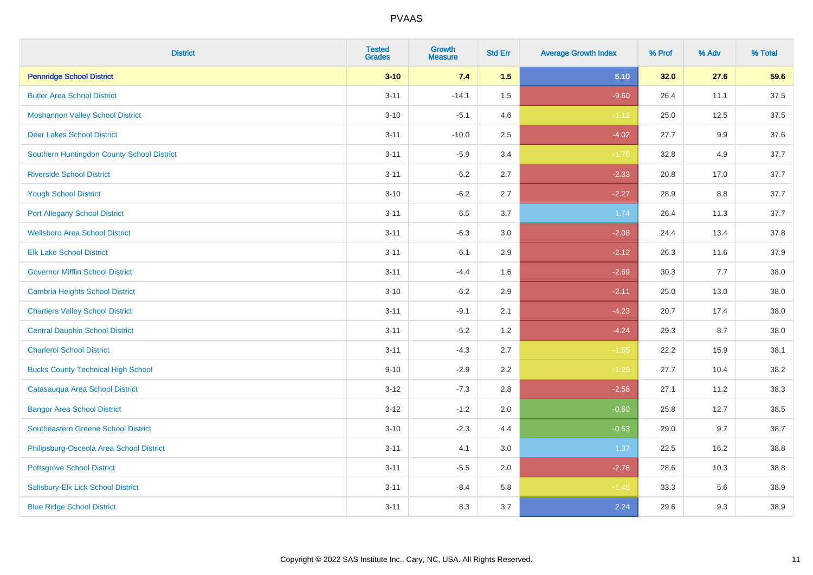| <b>District</b>                            | <b>Tested</b><br><b>Grades</b> | <b>Growth</b><br><b>Measure</b> | <b>Std Err</b> | <b>Average Growth Index</b> | % Prof | % Adv | % Total |
|--------------------------------------------|--------------------------------|---------------------------------|----------------|-----------------------------|--------|-------|---------|
| <b>Pennridge School District</b>           | $3 - 10$                       | 7.4                             | 1.5            | 5.10                        | 32.0   | 27.6  | 59.6    |
| <b>Butler Area School District</b>         | $3 - 11$                       | $-14.1$                         | 1.5            | $-9.60$                     | 26.4   | 11.1  | 37.5    |
| <b>Moshannon Valley School District</b>    | $3 - 10$                       | $-5.1$                          | 4.6            | $-1.12$                     | 25.0   | 12.5  | 37.5    |
| <b>Deer Lakes School District</b>          | $3 - 11$                       | $-10.0$                         | 2.5            | $-4.02$                     | 27.7   | 9.9   | 37.6    |
| Southern Huntingdon County School District | $3 - 11$                       | $-5.9$                          | 3.4            | $-1.76$                     | 32.8   | 4.9   | 37.7    |
| <b>Riverside School District</b>           | $3 - 11$                       | $-6.2$                          | 2.7            | $-2.33$                     | 20.8   | 17.0  | 37.7    |
| <b>Yough School District</b>               | $3 - 10$                       | $-6.2$                          | 2.7            | $-2.27$                     | 28.9   | 8.8   | 37.7    |
| <b>Port Allegany School District</b>       | $3 - 11$                       | 6.5                             | 3.7            | 1.74                        | 26.4   | 11.3  | 37.7    |
| <b>Wellsboro Area School District</b>      | $3 - 11$                       | $-6.3$                          | 3.0            | $-2.08$                     | 24.4   | 13.4  | 37.8    |
| <b>Elk Lake School District</b>            | $3 - 11$                       | $-6.1$                          | 2.9            | $-2.12$                     | 26.3   | 11.6  | 37.9    |
| <b>Governor Mifflin School District</b>    | $3 - 11$                       | $-4.4$                          | 1.6            | $-2.69$                     | 30.3   | 7.7   | 38.0    |
| <b>Cambria Heights School District</b>     | $3 - 10$                       | $-6.2$                          | 2.9            | $-2.11$                     | 25.0   | 13.0  | 38.0    |
| <b>Chartiers Valley School District</b>    | $3 - 11$                       | $-9.1$                          | 2.1            | $-4.23$                     | 20.7   | 17.4  | 38.0    |
| <b>Central Dauphin School District</b>     | $3 - 11$                       | $-5.2$                          | 1.2            | $-4.24$                     | 29.3   | 8.7   | 38.0    |
| <b>Charleroi School District</b>           | $3 - 11$                       | $-4.3$                          | 2.7            | $-1.55$                     | 22.2   | 15.9  | 38.1    |
| <b>Bucks County Technical High School</b>  | $9 - 10$                       | $-2.9$                          | 2.2            | $-1.29$                     | 27.7   | 10.4  | 38.2    |
| Catasauqua Area School District            | $3 - 12$                       | $-7.3$                          | 2.8            | $-2.58$                     | 27.1   | 11.2  | 38.3    |
| <b>Bangor Area School District</b>         | $3 - 12$                       | $-1.2$                          | 2.0            | $-0.60$                     | 25.8   | 12.7  | 38.5    |
| <b>Southeastern Greene School District</b> | $3 - 10$                       | $-2.3$                          | 4.4            | $-0.53$                     | 29.0   | 9.7   | 38.7    |
| Philipsburg-Osceola Area School District   | $3 - 11$                       | 4.1                             | 3.0            | 1.37                        | 22.5   | 16.2  | 38.8    |
| <b>Pottsgrove School District</b>          | $3 - 11$                       | $-5.5$                          | 2.0            | $-2.78$                     | 28.6   | 10.3  | 38.8    |
| Salisbury-Elk Lick School District         | $3 - 11$                       | $-8.4$                          | 5.8            | $-1.45$                     | 33.3   | 5.6   | 38.9    |
| <b>Blue Ridge School District</b>          | $3 - 11$                       | 8.3                             | 3.7            | 2.24                        | 29.6   | 9.3   | 38.9    |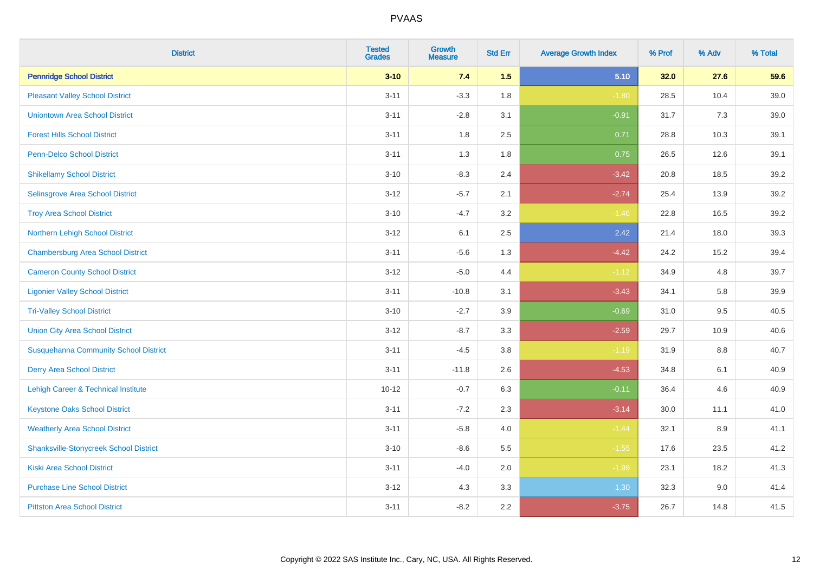| <b>District</b>                               | <b>Tested</b><br><b>Grades</b> | <b>Growth</b><br><b>Measure</b> | <b>Std Err</b> | <b>Average Growth Index</b> | % Prof | % Adv | % Total |
|-----------------------------------------------|--------------------------------|---------------------------------|----------------|-----------------------------|--------|-------|---------|
| <b>Pennridge School District</b>              | $3 - 10$                       | 7.4                             | 1.5            | 5.10                        | 32.0   | 27.6  | 59.6    |
| <b>Pleasant Valley School District</b>        | $3 - 11$                       | $-3.3$                          | 1.8            | $-1.80$                     | 28.5   | 10.4  | 39.0    |
| <b>Uniontown Area School District</b>         | $3 - 11$                       | $-2.8$                          | 3.1            | $-0.91$                     | 31.7   | 7.3   | 39.0    |
| <b>Forest Hills School District</b>           | $3 - 11$                       | 1.8                             | 2.5            | 0.71                        | 28.8   | 10.3  | 39.1    |
| Penn-Delco School District                    | $3 - 11$                       | 1.3                             | 1.8            | 0.75                        | 26.5   | 12.6  | 39.1    |
| <b>Shikellamy School District</b>             | $3 - 10$                       | $-8.3$                          | 2.4            | $-3.42$                     | 20.8   | 18.5  | 39.2    |
| Selinsgrove Area School District              | $3 - 12$                       | $-5.7$                          | 2.1            | $-2.74$                     | 25.4   | 13.9  | 39.2    |
| <b>Troy Area School District</b>              | $3 - 10$                       | $-4.7$                          | 3.2            | $-1.46$                     | 22.8   | 16.5  | 39.2    |
| Northern Lehigh School District               | $3 - 12$                       | 6.1                             | 2.5            | 2.42                        | 21.4   | 18.0  | 39.3    |
| <b>Chambersburg Area School District</b>      | $3 - 11$                       | $-5.6$                          | 1.3            | $-4.42$                     | 24.2   | 15.2  | 39.4    |
| <b>Cameron County School District</b>         | $3-12$                         | $-5.0$                          | 4.4            | $-1.12$                     | 34.9   | 4.8   | 39.7    |
| <b>Ligonier Valley School District</b>        | $3 - 11$                       | $-10.8$                         | 3.1            | $-3.43$                     | 34.1   | 5.8   | 39.9    |
| <b>Tri-Valley School District</b>             | $3 - 10$                       | $-2.7$                          | 3.9            | $-0.69$                     | 31.0   | 9.5   | 40.5    |
| <b>Union City Area School District</b>        | $3 - 12$                       | $-8.7$                          | 3.3            | $-2.59$                     | 29.7   | 10.9  | 40.6    |
| <b>Susquehanna Community School District</b>  | $3 - 11$                       | $-4.5$                          | 3.8            | $-1.19$                     | 31.9   | 8.8   | 40.7    |
| <b>Derry Area School District</b>             | $3 - 11$                       | $-11.8$                         | 2.6            | $-4.53$                     | 34.8   | 6.1   | 40.9    |
| Lehigh Career & Technical Institute           | $10 - 12$                      | $-0.7$                          | 6.3            | $-0.11$                     | 36.4   | 4.6   | 40.9    |
| <b>Keystone Oaks School District</b>          | $3 - 11$                       | $-7.2$                          | 2.3            | $-3.14$                     | 30.0   | 11.1  | 41.0    |
| <b>Weatherly Area School District</b>         | $3 - 11$                       | $-5.8$                          | 4.0            | $-1.44$                     | 32.1   | 8.9   | 41.1    |
| <b>Shanksville-Stonycreek School District</b> | $3 - 10$                       | $-8.6$                          | 5.5            | $-1.55$                     | 17.6   | 23.5  | 41.2    |
| <b>Kiski Area School District</b>             | $3 - 11$                       | $-4.0$                          | 2.0            | $-1.99$                     | 23.1   | 18.2  | 41.3    |
| <b>Purchase Line School District</b>          | $3 - 12$                       | 4.3                             | 3.3            | 1.30                        | 32.3   | 9.0   | 41.4    |
| <b>Pittston Area School District</b>          | $3 - 11$                       | $-8.2$                          | 2.2            | $-3.75$                     | 26.7   | 14.8  | 41.5    |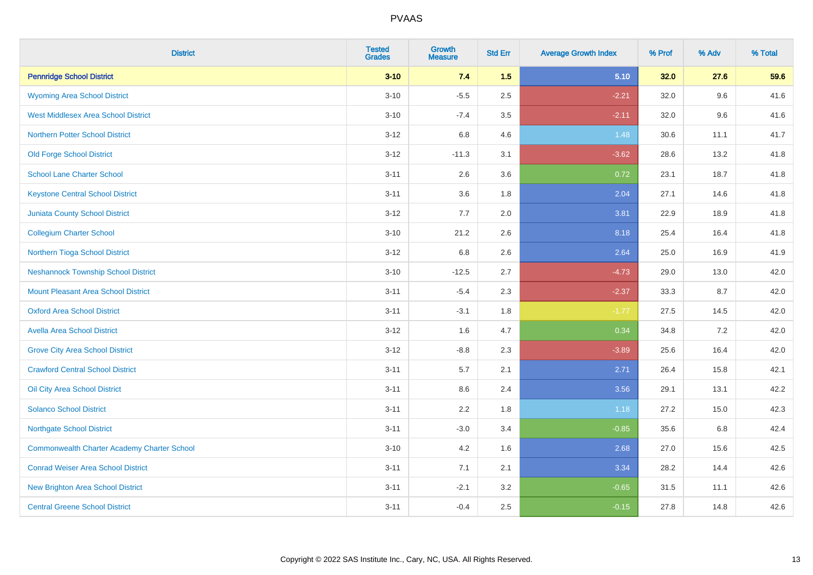| <b>District</b>                                    | <b>Tested</b><br><b>Grades</b> | <b>Growth</b><br><b>Measure</b> | <b>Std Err</b> | <b>Average Growth Index</b> | % Prof | % Adv | % Total |
|----------------------------------------------------|--------------------------------|---------------------------------|----------------|-----------------------------|--------|-------|---------|
| <b>Pennridge School District</b>                   | $3 - 10$                       | 7.4                             | 1.5            | 5.10                        | 32.0   | 27.6  | 59.6    |
| <b>Wyoming Area School District</b>                | $3 - 10$                       | $-5.5$                          | 2.5            | $-2.21$                     | 32.0   | 9.6   | 41.6    |
| <b>West Middlesex Area School District</b>         | $3 - 10$                       | $-7.4$                          | 3.5            | $-2.11$                     | 32.0   | 9.6   | 41.6    |
| <b>Northern Potter School District</b>             | $3 - 12$                       | 6.8                             | 4.6            | 1.48                        | 30.6   | 11.1  | 41.7    |
| <b>Old Forge School District</b>                   | $3 - 12$                       | $-11.3$                         | 3.1            | $-3.62$                     | 28.6   | 13.2  | 41.8    |
| <b>School Lane Charter School</b>                  | $3 - 11$                       | 2.6                             | 3.6            | 0.72                        | 23.1   | 18.7  | 41.8    |
| <b>Keystone Central School District</b>            | $3 - 11$                       | 3.6                             | 1.8            | 2.04                        | 27.1   | 14.6  | 41.8    |
| <b>Juniata County School District</b>              | $3 - 12$                       | 7.7                             | 2.0            | 3.81                        | 22.9   | 18.9  | 41.8    |
| <b>Collegium Charter School</b>                    | $3 - 10$                       | 21.2                            | 2.6            | 8.18                        | 25.4   | 16.4  | 41.8    |
| Northern Tioga School District                     | $3 - 12$                       | 6.8                             | 2.6            | 2.64                        | 25.0   | 16.9  | 41.9    |
| <b>Neshannock Township School District</b>         | $3 - 10$                       | $-12.5$                         | 2.7            | $-4.73$                     | 29.0   | 13.0  | 42.0    |
| <b>Mount Pleasant Area School District</b>         | $3 - 11$                       | $-5.4$                          | 2.3            | $-2.37$                     | 33.3   | 8.7   | 42.0    |
| <b>Oxford Area School District</b>                 | $3 - 11$                       | $-3.1$                          | 1.8            | $-1.77$                     | 27.5   | 14.5  | 42.0    |
| <b>Avella Area School District</b>                 | $3 - 12$                       | 1.6                             | 4.7            | 0.34                        | 34.8   | 7.2   | 42.0    |
| <b>Grove City Area School District</b>             | $3 - 12$                       | $-8.8$                          | 2.3            | $-3.89$                     | 25.6   | 16.4  | 42.0    |
| <b>Crawford Central School District</b>            | $3 - 11$                       | 5.7                             | 2.1            | 2.71                        | 26.4   | 15.8  | 42.1    |
| Oil City Area School District                      | $3 - 11$                       | 8.6                             | 2.4            | 3.56                        | 29.1   | 13.1  | 42.2    |
| <b>Solanco School District</b>                     | $3 - 11$                       | 2.2                             | 1.8            | 1.18                        | 27.2   | 15.0  | 42.3    |
| <b>Northgate School District</b>                   | $3 - 11$                       | $-3.0$                          | 3.4            | $-0.85$                     | 35.6   | 6.8   | 42.4    |
| <b>Commonwealth Charter Academy Charter School</b> | $3 - 10$                       | 4.2                             | 1.6            | 2.68                        | 27.0   | 15.6  | 42.5    |
| <b>Conrad Weiser Area School District</b>          | $3 - 11$                       | 7.1                             | 2.1            | 3.34                        | 28.2   | 14.4  | 42.6    |
| <b>New Brighton Area School District</b>           | $3 - 11$                       | $-2.1$                          | 3.2            | $-0.65$                     | 31.5   | 11.1  | 42.6    |
| <b>Central Greene School District</b>              | $3 - 11$                       | $-0.4$                          | 2.5            | $-0.15$                     | 27.8   | 14.8  | 42.6    |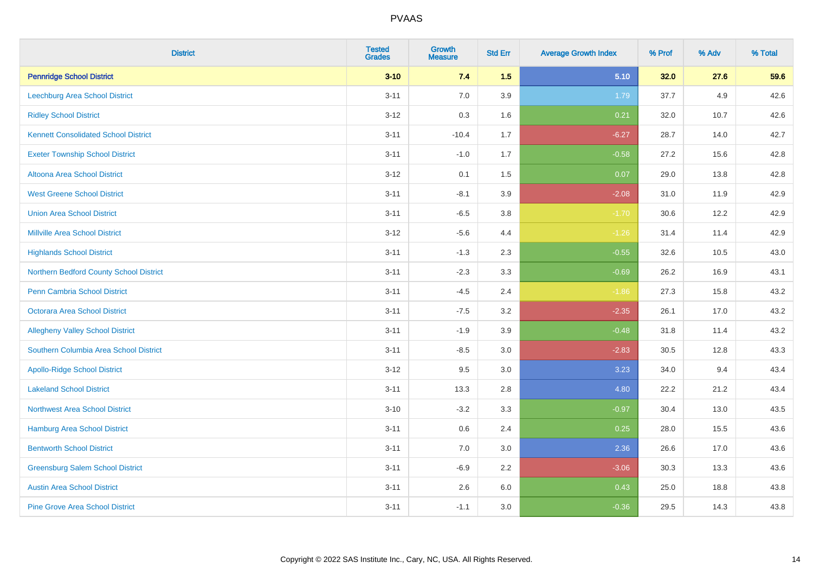| <b>District</b>                             | <b>Tested</b><br><b>Grades</b> | <b>Growth</b><br><b>Measure</b> | <b>Std Err</b> | <b>Average Growth Index</b> | % Prof | % Adv | % Total |
|---------------------------------------------|--------------------------------|---------------------------------|----------------|-----------------------------|--------|-------|---------|
| <b>Pennridge School District</b>            | $3 - 10$                       | 7.4                             | 1.5            | 5.10                        | 32.0   | 27.6  | 59.6    |
| <b>Leechburg Area School District</b>       | $3 - 11$                       | 7.0                             | 3.9            | 1.79                        | 37.7   | 4.9   | 42.6    |
| <b>Ridley School District</b>               | $3 - 12$                       | 0.3                             | 1.6            | 0.21                        | 32.0   | 10.7  | 42.6    |
| <b>Kennett Consolidated School District</b> | $3 - 11$                       | $-10.4$                         | 1.7            | $-6.27$                     | 28.7   | 14.0  | 42.7    |
| <b>Exeter Township School District</b>      | $3 - 11$                       | $-1.0$                          | 1.7            | $-0.58$                     | 27.2   | 15.6  | 42.8    |
| <b>Altoona Area School District</b>         | $3 - 12$                       | 0.1                             | 1.5            | 0.07                        | 29.0   | 13.8  | 42.8    |
| <b>West Greene School District</b>          | $3 - 11$                       | $-8.1$                          | 3.9            | $-2.08$                     | 31.0   | 11.9  | 42.9    |
| <b>Union Area School District</b>           | $3 - 11$                       | $-6.5$                          | 3.8            | $-1.70$                     | 30.6   | 12.2  | 42.9    |
| <b>Millville Area School District</b>       | $3 - 12$                       | $-5.6$                          | 4.4            | $-1.26$                     | 31.4   | 11.4  | 42.9    |
| <b>Highlands School District</b>            | $3 - 11$                       | $-1.3$                          | 2.3            | $-0.55$                     | 32.6   | 10.5  | 43.0    |
| Northern Bedford County School District     | $3 - 11$                       | $-2.3$                          | 3.3            | $-0.69$                     | 26.2   | 16.9  | 43.1    |
| <b>Penn Cambria School District</b>         | $3 - 11$                       | $-4.5$                          | 2.4            | $-1.86$                     | 27.3   | 15.8  | 43.2    |
| Octorara Area School District               | $3 - 11$                       | $-7.5$                          | 3.2            | $-2.35$                     | 26.1   | 17.0  | 43.2    |
| <b>Allegheny Valley School District</b>     | $3 - 11$                       | $-1.9$                          | 3.9            | $-0.48$                     | 31.8   | 11.4  | 43.2    |
| Southern Columbia Area School District      | $3 - 11$                       | $-8.5$                          | 3.0            | $-2.83$                     | 30.5   | 12.8  | 43.3    |
| <b>Apollo-Ridge School District</b>         | $3 - 12$                       | 9.5                             | 3.0            | 3.23                        | 34.0   | 9.4   | 43.4    |
| <b>Lakeland School District</b>             | $3 - 11$                       | 13.3                            | 2.8            | 4.80                        | 22.2   | 21.2  | 43.4    |
| Northwest Area School District              | $3 - 10$                       | $-3.2$                          | 3.3            | $-0.97$                     | 30.4   | 13.0  | 43.5    |
| <b>Hamburg Area School District</b>         | $3 - 11$                       | 0.6                             | 2.4            | 0.25                        | 28.0   | 15.5  | 43.6    |
| <b>Bentworth School District</b>            | $3 - 11$                       | 7.0                             | 3.0            | 2.36                        | 26.6   | 17.0  | 43.6    |
| <b>Greensburg Salem School District</b>     | $3 - 11$                       | $-6.9$                          | 2.2            | $-3.06$                     | 30.3   | 13.3  | 43.6    |
| <b>Austin Area School District</b>          | $3 - 11$                       | 2.6                             | 6.0            | 0.43                        | 25.0   | 18.8  | 43.8    |
| <b>Pine Grove Area School District</b>      | $3 - 11$                       | $-1.1$                          | 3.0            | $-0.36$                     | 29.5   | 14.3  | 43.8    |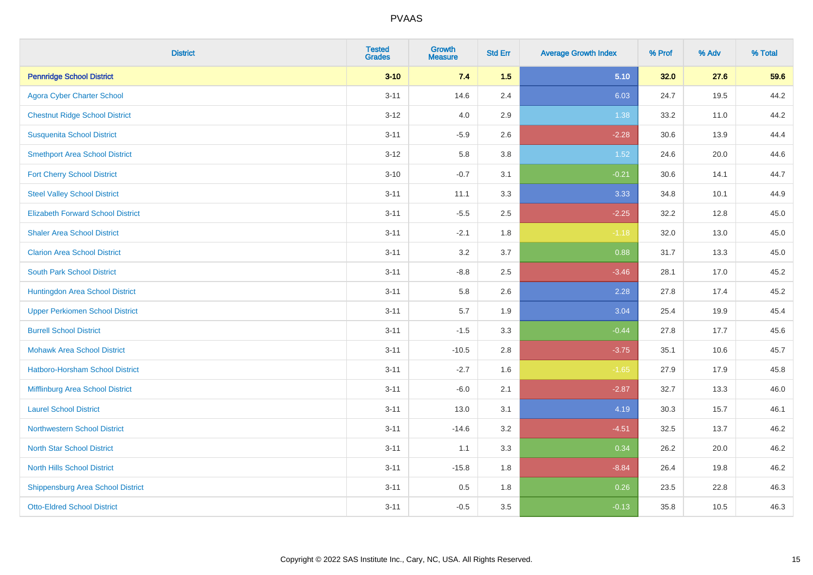| <b>District</b>                          | <b>Tested</b><br><b>Grades</b> | <b>Growth</b><br><b>Measure</b> | <b>Std Err</b> | <b>Average Growth Index</b> | % Prof | % Adv | % Total |
|------------------------------------------|--------------------------------|---------------------------------|----------------|-----------------------------|--------|-------|---------|
| <b>Pennridge School District</b>         | $3 - 10$                       | 7.4                             | 1.5            | 5.10                        | 32.0   | 27.6  | 59.6    |
| <b>Agora Cyber Charter School</b>        | $3 - 11$                       | 14.6                            | 2.4            | 6.03                        | 24.7   | 19.5  | 44.2    |
| <b>Chestnut Ridge School District</b>    | $3 - 12$                       | 4.0                             | 2.9            | 1.38                        | 33.2   | 11.0  | 44.2    |
| <b>Susquenita School District</b>        | $3 - 11$                       | $-5.9$                          | 2.6            | $-2.28$                     | 30.6   | 13.9  | 44.4    |
| <b>Smethport Area School District</b>    | $3 - 12$                       | 5.8                             | 3.8            | 1.52                        | 24.6   | 20.0  | 44.6    |
| <b>Fort Cherry School District</b>       | $3 - 10$                       | $-0.7$                          | 3.1            | $-0.21$                     | 30.6   | 14.1  | 44.7    |
| <b>Steel Valley School District</b>      | $3 - 11$                       | 11.1                            | 3.3            | 3.33                        | 34.8   | 10.1  | 44.9    |
| <b>Elizabeth Forward School District</b> | $3 - 11$                       | $-5.5$                          | 2.5            | $-2.25$                     | 32.2   | 12.8  | 45.0    |
| <b>Shaler Area School District</b>       | $3 - 11$                       | $-2.1$                          | 1.8            | $-1.18$                     | 32.0   | 13.0  | 45.0    |
| <b>Clarion Area School District</b>      | $3 - 11$                       | 3.2                             | 3.7            | 0.88                        | 31.7   | 13.3  | 45.0    |
| <b>South Park School District</b>        | $3 - 11$                       | $-8.8$                          | 2.5            | $-3.46$                     | 28.1   | 17.0  | 45.2    |
| Huntingdon Area School District          | $3 - 11$                       | 5.8                             | 2.6            | 2.28                        | 27.8   | 17.4  | 45.2    |
| <b>Upper Perkiomen School District</b>   | $3 - 11$                       | 5.7                             | 1.9            | 3.04                        | 25.4   | 19.9  | 45.4    |
| <b>Burrell School District</b>           | $3 - 11$                       | $-1.5$                          | 3.3            | $-0.44$                     | 27.8   | 17.7  | 45.6    |
| <b>Mohawk Area School District</b>       | $3 - 11$                       | $-10.5$                         | 2.8            | $-3.75$                     | 35.1   | 10.6  | 45.7    |
| <b>Hatboro-Horsham School District</b>   | $3 - 11$                       | $-2.7$                          | 1.6            | $-1.65$                     | 27.9   | 17.9  | 45.8    |
| Mifflinburg Area School District         | $3 - 11$                       | $-6.0$                          | 2.1            | $-2.87$                     | 32.7   | 13.3  | 46.0    |
| <b>Laurel School District</b>            | $3 - 11$                       | 13.0                            | 3.1            | 4.19                        | 30.3   | 15.7  | 46.1    |
| Northwestern School District             | $3 - 11$                       | $-14.6$                         | 3.2            | $-4.51$                     | 32.5   | 13.7  | 46.2    |
| <b>North Star School District</b>        | $3 - 11$                       | 1.1                             | 3.3            | 0.34                        | 26.2   | 20.0  | 46.2    |
| <b>North Hills School District</b>       | $3 - 11$                       | $-15.8$                         | 1.8            | $-8.84$                     | 26.4   | 19.8  | 46.2    |
| <b>Shippensburg Area School District</b> | $3 - 11$                       | 0.5                             | 1.8            | 0.26                        | 23.5   | 22.8  | 46.3    |
| <b>Otto-Eldred School District</b>       | $3 - 11$                       | $-0.5$                          | 3.5            | $-0.13$                     | 35.8   | 10.5  | 46.3    |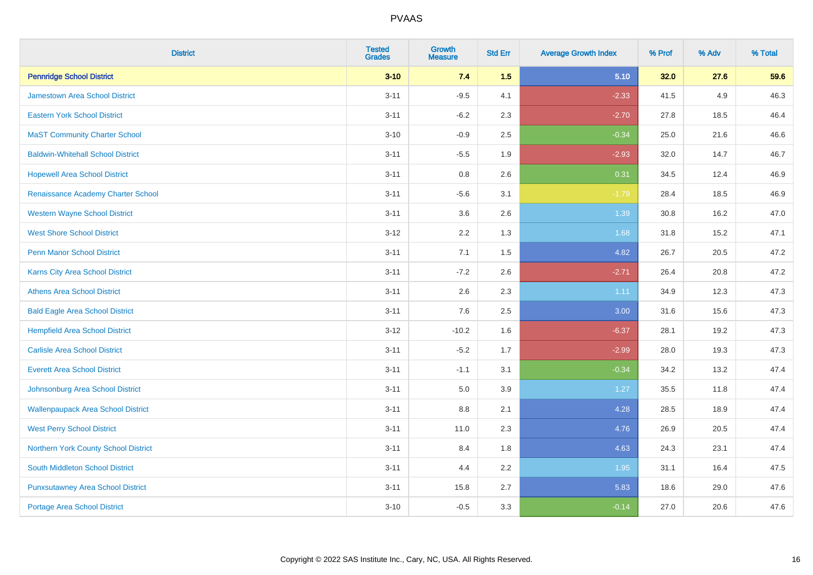| <b>District</b>                           | <b>Tested</b><br><b>Grades</b> | <b>Growth</b><br><b>Measure</b> | <b>Std Err</b> | <b>Average Growth Index</b> | % Prof | % Adv | % Total |
|-------------------------------------------|--------------------------------|---------------------------------|----------------|-----------------------------|--------|-------|---------|
| <b>Pennridge School District</b>          | $3 - 10$                       | 7.4                             | 1.5            | 5.10                        | 32.0   | 27.6  | 59.6    |
| <b>Jamestown Area School District</b>     | $3 - 11$                       | $-9.5$                          | 4.1            | $-2.33$                     | 41.5   | 4.9   | 46.3    |
| <b>Eastern York School District</b>       | $3 - 11$                       | $-6.2$                          | 2.3            | $-2.70$                     | 27.8   | 18.5  | 46.4    |
| <b>MaST Community Charter School</b>      | $3 - 10$                       | $-0.9$                          | 2.5            | $-0.34$                     | 25.0   | 21.6  | 46.6    |
| <b>Baldwin-Whitehall School District</b>  | $3 - 11$                       | $-5.5$                          | 1.9            | $-2.93$                     | 32.0   | 14.7  | 46.7    |
| <b>Hopewell Area School District</b>      | $3 - 11$                       | 0.8                             | 2.6            | 0.31                        | 34.5   | 12.4  | 46.9    |
| Renaissance Academy Charter School        | $3 - 11$                       | $-5.6$                          | 3.1            | $-1.79$                     | 28.4   | 18.5  | 46.9    |
| <b>Western Wayne School District</b>      | $3 - 11$                       | 3.6                             | 2.6            | 1.39                        | 30.8   | 16.2  | 47.0    |
| <b>West Shore School District</b>         | $3 - 12$                       | 2.2                             | 1.3            | 1.68                        | 31.8   | 15.2  | 47.1    |
| <b>Penn Manor School District</b>         | $3 - 11$                       | 7.1                             | 1.5            | 4.82                        | 26.7   | 20.5  | 47.2    |
| Karns City Area School District           | $3 - 11$                       | $-7.2$                          | 2.6            | $-2.71$                     | 26.4   | 20.8  | 47.2    |
| <b>Athens Area School District</b>        | $3 - 11$                       | 2.6                             | 2.3            | 1.11                        | 34.9   | 12.3  | 47.3    |
| <b>Bald Eagle Area School District</b>    | $3 - 11$                       | 7.6                             | 2.5            | 3.00                        | 31.6   | 15.6  | 47.3    |
| <b>Hempfield Area School District</b>     | $3 - 12$                       | $-10.2$                         | 1.6            | $-6.37$                     | 28.1   | 19.2  | 47.3    |
| <b>Carlisle Area School District</b>      | $3 - 11$                       | $-5.2$                          | 1.7            | $-2.99$                     | 28.0   | 19.3  | 47.3    |
| <b>Everett Area School District</b>       | $3 - 11$                       | $-1.1$                          | 3.1            | $-0.34$                     | 34.2   | 13.2  | 47.4    |
| Johnsonburg Area School District          | $3 - 11$                       | 5.0                             | 3.9            | 1.27                        | 35.5   | 11.8  | 47.4    |
| <b>Wallenpaupack Area School District</b> | $3 - 11$                       | 8.8                             | 2.1            | 4.28                        | 28.5   | 18.9  | 47.4    |
| <b>West Perry School District</b>         | $3 - 11$                       | 11.0                            | 2.3            | 4.76                        | 26.9   | 20.5  | 47.4    |
| Northern York County School District      | $3 - 11$                       | 8.4                             | 1.8            | 4.63                        | 24.3   | 23.1  | 47.4    |
| South Middleton School District           | $3 - 11$                       | 4.4                             | 2.2            | 1.95                        | 31.1   | 16.4  | 47.5    |
| <b>Punxsutawney Area School District</b>  | $3 - 11$                       | 15.8                            | 2.7            | 5.83                        | 18.6   | 29.0  | 47.6    |
| Portage Area School District              | $3 - 10$                       | $-0.5$                          | 3.3            | $-0.14$                     | 27.0   | 20.6  | 47.6    |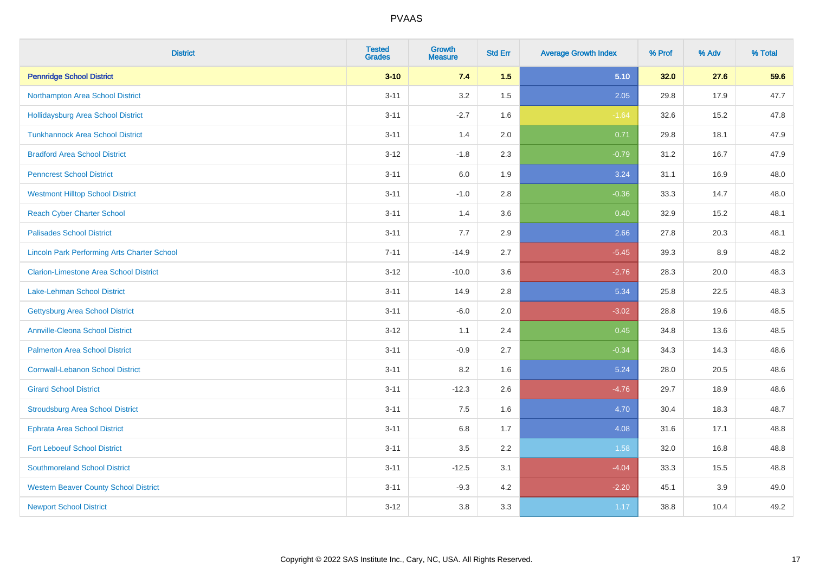| <b>District</b>                                    | <b>Tested</b><br><b>Grades</b> | <b>Growth</b><br><b>Measure</b> | <b>Std Err</b> | <b>Average Growth Index</b> | % Prof | % Adv | % Total |
|----------------------------------------------------|--------------------------------|---------------------------------|----------------|-----------------------------|--------|-------|---------|
| <b>Pennridge School District</b>                   | $3 - 10$                       | 7.4                             | 1.5            | 5.10                        | 32.0   | 27.6  | 59.6    |
| Northampton Area School District                   | $3 - 11$                       | 3.2                             | 1.5            | 2.05                        | 29.8   | 17.9  | 47.7    |
| <b>Hollidaysburg Area School District</b>          | $3 - 11$                       | $-2.7$                          | 1.6            | $-1.64$                     | 32.6   | 15.2  | 47.8    |
| <b>Tunkhannock Area School District</b>            | $3 - 11$                       | 1.4                             | 2.0            | 0.71                        | 29.8   | 18.1  | 47.9    |
| <b>Bradford Area School District</b>               | $3-12$                         | $-1.8$                          | 2.3            | $-0.79$                     | 31.2   | 16.7  | 47.9    |
| <b>Penncrest School District</b>                   | $3 - 11$                       | 6.0                             | 1.9            | 3.24                        | 31.1   | 16.9  | 48.0    |
| <b>Westmont Hilltop School District</b>            | $3 - 11$                       | $-1.0$                          | 2.8            | $-0.36$                     | 33.3   | 14.7  | 48.0    |
| <b>Reach Cyber Charter School</b>                  | $3 - 11$                       | 1.4                             | 3.6            | 0.40                        | 32.9   | 15.2  | 48.1    |
| <b>Palisades School District</b>                   | $3 - 11$                       | 7.7                             | 2.9            | 2.66                        | 27.8   | 20.3  | 48.1    |
| <b>Lincoln Park Performing Arts Charter School</b> | $7 - 11$                       | $-14.9$                         | 2.7            | $-5.45$                     | 39.3   | 8.9   | 48.2    |
| <b>Clarion-Limestone Area School District</b>      | $3 - 12$                       | $-10.0$                         | 3.6            | $-2.76$                     | 28.3   | 20.0  | 48.3    |
| Lake-Lehman School District                        | $3 - 11$                       | 14.9                            | 2.8            | 5.34                        | 25.8   | 22.5  | 48.3    |
| <b>Gettysburg Area School District</b>             | $3 - 11$                       | $-6.0$                          | 2.0            | $-3.02$                     | 28.8   | 19.6  | 48.5    |
| <b>Annville-Cleona School District</b>             | $3 - 12$                       | 1.1                             | 2.4            | 0.45                        | 34.8   | 13.6  | 48.5    |
| <b>Palmerton Area School District</b>              | $3 - 11$                       | $-0.9$                          | 2.7            | $-0.34$                     | 34.3   | 14.3  | 48.6    |
| <b>Cornwall-Lebanon School District</b>            | $3 - 11$                       | 8.2                             | 1.6            | 5.24                        | 28.0   | 20.5  | 48.6    |
| <b>Girard School District</b>                      | $3 - 11$                       | $-12.3$                         | 2.6            | $-4.76$                     | 29.7   | 18.9  | 48.6    |
| <b>Stroudsburg Area School District</b>            | $3 - 11$                       | 7.5                             | 1.6            | 4.70                        | 30.4   | 18.3  | 48.7    |
| <b>Ephrata Area School District</b>                | $3 - 11$                       | $6.8\,$                         | 1.7            | 4.08                        | 31.6   | 17.1  | 48.8    |
| <b>Fort Leboeuf School District</b>                | $3 - 11$                       | 3.5                             | 2.2            | 1.58                        | 32.0   | 16.8  | 48.8    |
| <b>Southmoreland School District</b>               | $3 - 11$                       | $-12.5$                         | 3.1            | $-4.04$                     | 33.3   | 15.5  | 48.8    |
| <b>Western Beaver County School District</b>       | $3 - 11$                       | $-9.3$                          | 4.2            | $-2.20$                     | 45.1   | 3.9   | 49.0    |
| <b>Newport School District</b>                     | $3-12$                         | 3.8                             | 3.3            | 1.17                        | 38.8   | 10.4  | 49.2    |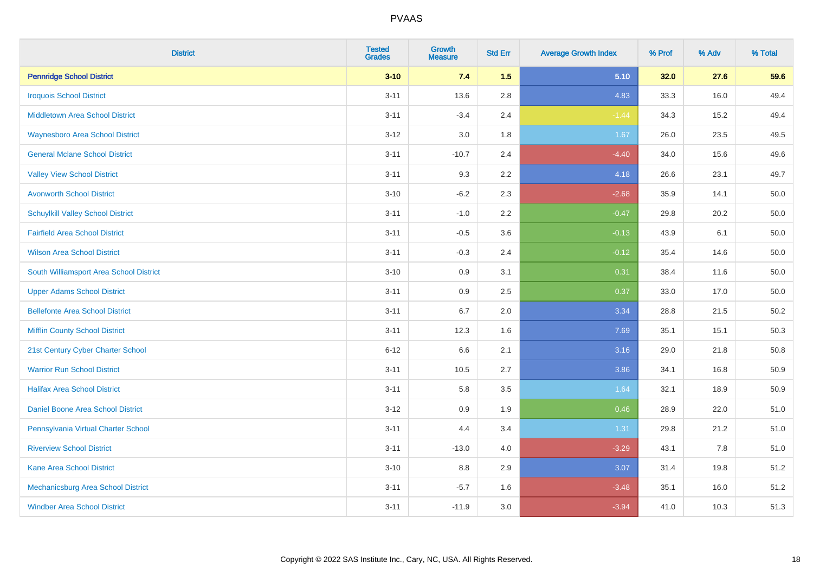| <b>District</b>                          | <b>Tested</b><br><b>Grades</b> | Growth<br><b>Measure</b> | <b>Std Err</b> | <b>Average Growth Index</b> | % Prof | % Adv | % Total  |
|------------------------------------------|--------------------------------|--------------------------|----------------|-----------------------------|--------|-------|----------|
| <b>Pennridge School District</b>         | $3 - 10$                       | 7.4                      | 1.5            | 5.10                        | 32.0   | 27.6  | 59.6     |
| <b>Iroquois School District</b>          | $3 - 11$                       | 13.6                     | 2.8            | 4.83                        | 33.3   | 16.0  | 49.4     |
| <b>Middletown Area School District</b>   | $3 - 11$                       | $-3.4$                   | 2.4            | $-1.44$                     | 34.3   | 15.2  | 49.4     |
| <b>Waynesboro Area School District</b>   | $3 - 12$                       | 3.0                      | 1.8            | 1.67                        | 26.0   | 23.5  | 49.5     |
| <b>General Mclane School District</b>    | $3 - 11$                       | $-10.7$                  | 2.4            | $-4.40$                     | 34.0   | 15.6  | 49.6     |
| <b>Valley View School District</b>       | $3 - 11$                       | 9.3                      | 2.2            | 4.18                        | 26.6   | 23.1  | 49.7     |
| <b>Avonworth School District</b>         | $3 - 10$                       | $-6.2$                   | 2.3            | $-2.68$                     | 35.9   | 14.1  | 50.0     |
| <b>Schuylkill Valley School District</b> | $3 - 11$                       | $-1.0$                   | 2.2            | $-0.47$                     | 29.8   | 20.2  | 50.0     |
| <b>Fairfield Area School District</b>    | $3 - 11$                       | $-0.5$                   | 3.6            | $-0.13$                     | 43.9   | 6.1   | 50.0     |
| <b>Wilson Area School District</b>       | $3 - 11$                       | $-0.3$                   | 2.4            | $-0.12$                     | 35.4   | 14.6  | $50.0\,$ |
| South Williamsport Area School District  | $3 - 10$                       | 0.9                      | 3.1            | 0.31                        | 38.4   | 11.6  | 50.0     |
| <b>Upper Adams School District</b>       | $3 - 11$                       | 0.9                      | 2.5            | 0.37                        | 33.0   | 17.0  | $50.0\,$ |
| <b>Bellefonte Area School District</b>   | $3 - 11$                       | 6.7                      | 2.0            | 3.34                        | 28.8   | 21.5  | 50.2     |
| <b>Mifflin County School District</b>    | $3 - 11$                       | 12.3                     | 1.6            | 7.69                        | 35.1   | 15.1  | 50.3     |
| 21st Century Cyber Charter School        | $6 - 12$                       | 6.6                      | 2.1            | 3.16                        | 29.0   | 21.8  | 50.8     |
| <b>Warrior Run School District</b>       | $3 - 11$                       | 10.5                     | 2.7            | 3.86                        | 34.1   | 16.8  | 50.9     |
| <b>Halifax Area School District</b>      | $3 - 11$                       | 5.8                      | 3.5            | 1.64                        | 32.1   | 18.9  | 50.9     |
| Daniel Boone Area School District        | $3 - 12$                       | 0.9                      | 1.9            | 0.46                        | 28.9   | 22.0  | 51.0     |
| Pennsylvania Virtual Charter School      | $3 - 11$                       | 4.4                      | 3.4            | 1.31                        | 29.8   | 21.2  | 51.0     |
| <b>Riverview School District</b>         | $3 - 11$                       | $-13.0$                  | 4.0            | $-3.29$                     | 43.1   | 7.8   | 51.0     |
| Kane Area School District                | $3 - 10$                       | 8.8                      | 2.9            | 3.07                        | 31.4   | 19.8  | 51.2     |
| Mechanicsburg Area School District       | $3 - 11$                       | $-5.7$                   | 1.6            | $-3.48$                     | 35.1   | 16.0  | 51.2     |
| <b>Windber Area School District</b>      | $3 - 11$                       | $-11.9$                  | 3.0            | $-3.94$                     | 41.0   | 10.3  | 51.3     |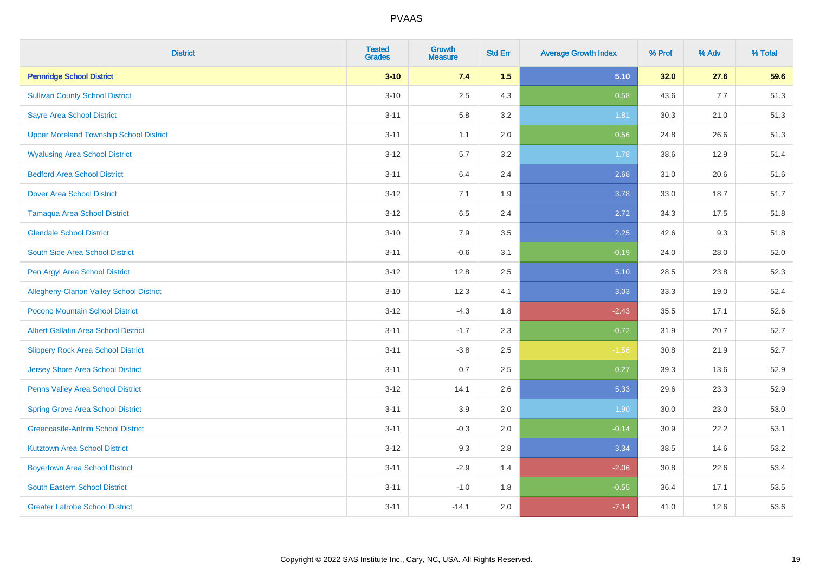| <b>District</b>                                | <b>Tested</b><br><b>Grades</b> | Growth<br><b>Measure</b> | <b>Std Err</b> | <b>Average Growth Index</b> | % Prof | % Adv | % Total |
|------------------------------------------------|--------------------------------|--------------------------|----------------|-----------------------------|--------|-------|---------|
| <b>Pennridge School District</b>               | $3 - 10$                       | 7.4                      | 1.5            | 5.10                        | 32.0   | 27.6  | 59.6    |
| <b>Sullivan County School District</b>         | $3 - 10$                       | 2.5                      | 4.3            | 0.58                        | 43.6   | 7.7   | 51.3    |
| <b>Sayre Area School District</b>              | $3 - 11$                       | 5.8                      | 3.2            | 1.81                        | 30.3   | 21.0  | 51.3    |
| <b>Upper Moreland Township School District</b> | $3 - 11$                       | 1.1                      | 2.0            | 0.56                        | 24.8   | 26.6  | 51.3    |
| <b>Wyalusing Area School District</b>          | $3 - 12$                       | 5.7                      | 3.2            | 1.78                        | 38.6   | 12.9  | 51.4    |
| <b>Bedford Area School District</b>            | $3 - 11$                       | 6.4                      | 2.4            | 2.68                        | 31.0   | 20.6  | 51.6    |
| <b>Dover Area School District</b>              | $3 - 12$                       | 7.1                      | 1.9            | 3.78                        | 33.0   | 18.7  | 51.7    |
| <b>Tamaqua Area School District</b>            | $3 - 12$                       | 6.5                      | 2.4            | 2.72                        | 34.3   | 17.5  | 51.8    |
| <b>Glendale School District</b>                | $3 - 10$                       | 7.9                      | 3.5            | 2.25                        | 42.6   | 9.3   | 51.8    |
| South Side Area School District                | $3 - 11$                       | $-0.6$                   | 3.1            | $-0.19$                     | 24.0   | 28.0  | 52.0    |
| Pen Argyl Area School District                 | $3 - 12$                       | 12.8                     | 2.5            | 5.10                        | 28.5   | 23.8  | 52.3    |
| Allegheny-Clarion Valley School District       | $3 - 10$                       | 12.3                     | 4.1            | 3.03                        | 33.3   | 19.0  | 52.4    |
| Pocono Mountain School District                | $3 - 12$                       | $-4.3$                   | 1.8            | $-2.43$                     | 35.5   | 17.1  | 52.6    |
| Albert Gallatin Area School District           | $3 - 11$                       | $-1.7$                   | 2.3            | $-0.72$                     | 31.9   | 20.7  | 52.7    |
| <b>Slippery Rock Area School District</b>      | $3 - 11$                       | $-3.8$                   | 2.5            | $-1.56$                     | 30.8   | 21.9  | 52.7    |
| <b>Jersey Shore Area School District</b>       | $3 - 11$                       | 0.7                      | 2.5            | 0.27                        | 39.3   | 13.6  | 52.9    |
| Penns Valley Area School District              | $3 - 12$                       | 14.1                     | 2.6            | 5.33                        | 29.6   | 23.3  | 52.9    |
| <b>Spring Grove Area School District</b>       | $3 - 11$                       | 3.9                      | 2.0            | 1.90                        | 30.0   | 23.0  | 53.0    |
| <b>Greencastle-Antrim School District</b>      | $3 - 11$                       | $-0.3$                   | 2.0            | $-0.14$                     | 30.9   | 22.2  | 53.1    |
| <b>Kutztown Area School District</b>           | $3 - 12$                       | 9.3                      | 2.8            | 3.34                        | 38.5   | 14.6  | 53.2    |
| <b>Boyertown Area School District</b>          | $3 - 11$                       | $-2.9$                   | 1.4            | $-2.06$                     | 30.8   | 22.6  | 53.4    |
| <b>South Eastern School District</b>           | $3 - 11$                       | $-1.0$                   | 1.8            | $-0.55$                     | 36.4   | 17.1  | 53.5    |
| <b>Greater Latrobe School District</b>         | $3 - 11$                       | $-14.1$                  | 2.0            | $-7.14$                     | 41.0   | 12.6  | 53.6    |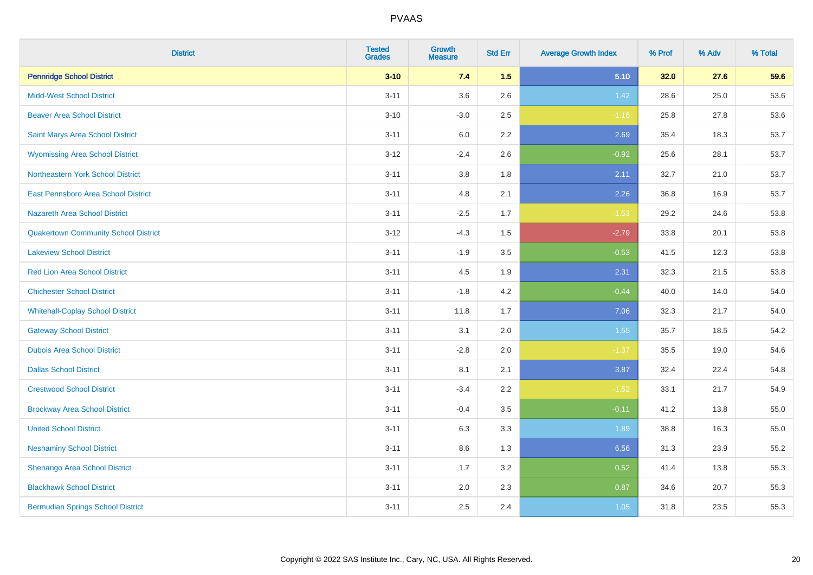| <b>District</b>                             | <b>Tested</b><br><b>Grades</b> | <b>Growth</b><br><b>Measure</b> | <b>Std Err</b> | <b>Average Growth Index</b> | % Prof | % Adv | % Total |
|---------------------------------------------|--------------------------------|---------------------------------|----------------|-----------------------------|--------|-------|---------|
| <b>Pennridge School District</b>            | $3 - 10$                       | 7.4                             | 1.5            | 5.10                        | 32.0   | 27.6  | 59.6    |
| <b>Midd-West School District</b>            | $3 - 11$                       | 3.6                             | 2.6            | 1.42                        | 28.6   | 25.0  | 53.6    |
| <b>Beaver Area School District</b>          | $3 - 10$                       | $-3.0$                          | 2.5            | $-1.16$                     | 25.8   | 27.8  | 53.6    |
| Saint Marys Area School District            | $3 - 11$                       | $6.0\,$                         | 2.2            | 2.69                        | 35.4   | 18.3  | 53.7    |
| <b>Wyomissing Area School District</b>      | $3 - 12$                       | $-2.4$                          | 2.6            | $-0.92$                     | 25.6   | 28.1  | 53.7    |
| Northeastern York School District           | $3 - 11$                       | $3.8\,$                         | 1.8            | 2.11                        | 32.7   | 21.0  | 53.7    |
| East Pennsboro Area School District         | $3 - 11$                       | 4.8                             | 2.1            | 2.26                        | 36.8   | 16.9  | 53.7    |
| <b>Nazareth Area School District</b>        | $3 - 11$                       | $-2.5$                          | 1.7            | $-1.53$                     | 29.2   | 24.6  | 53.8    |
| <b>Quakertown Community School District</b> | $3-12$                         | $-4.3$                          | 1.5            | $-2.79$                     | 33.8   | 20.1  | 53.8    |
| <b>Lakeview School District</b>             | $3 - 11$                       | $-1.9$                          | 3.5            | $-0.53$                     | 41.5   | 12.3  | 53.8    |
| <b>Red Lion Area School District</b>        | $3 - 11$                       | 4.5                             | 1.9            | 2.31                        | 32.3   | 21.5  | 53.8    |
| <b>Chichester School District</b>           | $3 - 11$                       | $-1.8$                          | 4.2            | $-0.44$                     | 40.0   | 14.0  | 54.0    |
| <b>Whitehall-Coplay School District</b>     | $3 - 11$                       | 11.8                            | 1.7            | 7.06                        | 32.3   | 21.7  | 54.0    |
| <b>Gateway School District</b>              | $3 - 11$                       | 3.1                             | 2.0            | 1.55                        | 35.7   | 18.5  | 54.2    |
| <b>Dubois Area School District</b>          | $3 - 11$                       | $-2.8$                          | 2.0            | $-1.37$                     | 35.5   | 19.0  | 54.6    |
| <b>Dallas School District</b>               | $3 - 11$                       | 8.1                             | 2.1            | 3.87                        | 32.4   | 22.4  | 54.8    |
| <b>Crestwood School District</b>            | $3 - 11$                       | $-3.4$                          | 2.2            | $-1.52$                     | 33.1   | 21.7  | 54.9    |
| <b>Brockway Area School District</b>        | $3 - 11$                       | $-0.4$                          | 3.5            | $-0.11$                     | 41.2   | 13.8  | 55.0    |
| <b>United School District</b>               | $3 - 11$                       | 6.3                             | 3.3            | 1.89                        | 38.8   | 16.3  | 55.0    |
| <b>Neshaminy School District</b>            | $3 - 11$                       | 8.6                             | 1.3            | 6.56                        | 31.3   | 23.9  | 55.2    |
| Shenango Area School District               | $3 - 11$                       | 1.7                             | 3.2            | 0.52                        | 41.4   | 13.8  | 55.3    |
| <b>Blackhawk School District</b>            | $3 - 11$                       | 2.0                             | 2.3            | 0.87                        | 34.6   | 20.7  | 55.3    |
| <b>Bermudian Springs School District</b>    | $3 - 11$                       | 2.5                             | 2.4            | 1.05                        | 31.8   | 23.5  | 55.3    |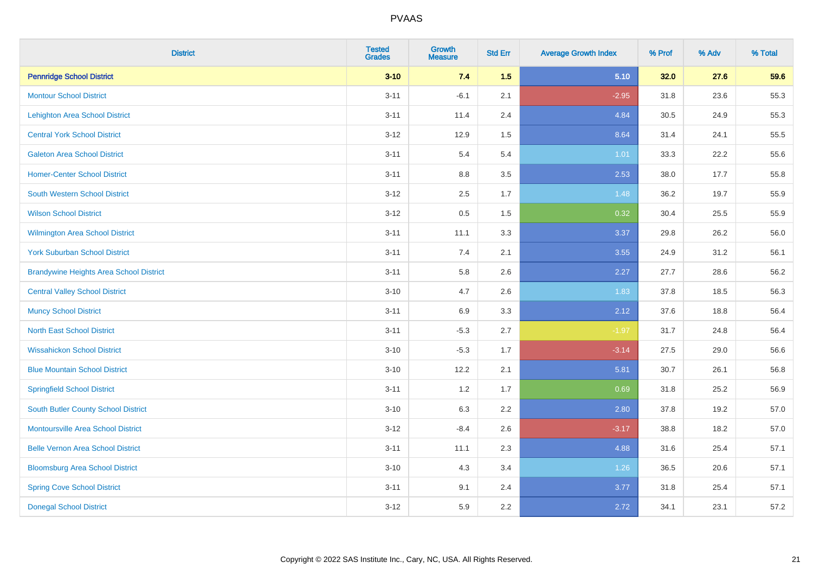| <b>District</b>                                | <b>Tested</b><br><b>Grades</b> | <b>Growth</b><br><b>Measure</b> | <b>Std Err</b> | <b>Average Growth Index</b> | % Prof | % Adv | % Total |
|------------------------------------------------|--------------------------------|---------------------------------|----------------|-----------------------------|--------|-------|---------|
| <b>Pennridge School District</b>               | $3 - 10$                       | 7.4                             | 1.5            | 5.10                        | 32.0   | 27.6  | 59.6    |
| <b>Montour School District</b>                 | $3 - 11$                       | $-6.1$                          | 2.1            | $-2.95$                     | 31.8   | 23.6  | 55.3    |
| <b>Lehighton Area School District</b>          | $3 - 11$                       | 11.4                            | 2.4            | 4.84                        | 30.5   | 24.9  | 55.3    |
| <b>Central York School District</b>            | $3 - 12$                       | 12.9                            | 1.5            | 8.64                        | 31.4   | 24.1  | 55.5    |
| <b>Galeton Area School District</b>            | $3 - 11$                       | 5.4                             | 5.4            | 1.01                        | 33.3   | 22.2  | 55.6    |
| <b>Homer-Center School District</b>            | $3 - 11$                       | 8.8                             | 3.5            | 2.53                        | 38.0   | 17.7  | 55.8    |
| <b>South Western School District</b>           | $3 - 12$                       | 2.5                             | 1.7            | 1.48                        | 36.2   | 19.7  | 55.9    |
| <b>Wilson School District</b>                  | $3 - 12$                       | 0.5                             | 1.5            | 0.32                        | 30.4   | 25.5  | 55.9    |
| <b>Wilmington Area School District</b>         | $3 - 11$                       | 11.1                            | 3.3            | 3.37                        | 29.8   | 26.2  | 56.0    |
| <b>York Suburban School District</b>           | $3 - 11$                       | 7.4                             | 2.1            | 3.55                        | 24.9   | 31.2  | 56.1    |
| <b>Brandywine Heights Area School District</b> | $3 - 11$                       | 5.8                             | 2.6            | 2.27                        | 27.7   | 28.6  | 56.2    |
| <b>Central Valley School District</b>          | $3 - 10$                       | 4.7                             | 2.6            | 1.83                        | 37.8   | 18.5  | 56.3    |
| <b>Muncy School District</b>                   | $3 - 11$                       | 6.9                             | 3.3            | 2.12                        | 37.6   | 18.8  | 56.4    |
| <b>North East School District</b>              | $3 - 11$                       | $-5.3$                          | 2.7            | $-1.97$                     | 31.7   | 24.8  | 56.4    |
| <b>Wissahickon School District</b>             | $3 - 10$                       | $-5.3$                          | 1.7            | $-3.14$                     | 27.5   | 29.0  | 56.6    |
| <b>Blue Mountain School District</b>           | $3 - 10$                       | 12.2                            | 2.1            | 5.81                        | 30.7   | 26.1  | 56.8    |
| <b>Springfield School District</b>             | $3 - 11$                       | 1.2                             | 1.7            | 0.69                        | 31.8   | 25.2  | 56.9    |
| <b>South Butler County School District</b>     | $3 - 10$                       | 6.3                             | 2.2            | 2.80                        | 37.8   | 19.2  | 57.0    |
| <b>Montoursville Area School District</b>      | $3 - 12$                       | $-8.4$                          | 2.6            | $-3.17$                     | 38.8   | 18.2  | 57.0    |
| <b>Belle Vernon Area School District</b>       | $3 - 11$                       | 11.1                            | 2.3            | 4.88                        | 31.6   | 25.4  | 57.1    |
| <b>Bloomsburg Area School District</b>         | $3 - 10$                       | 4.3                             | 3.4            | 1.26                        | 36.5   | 20.6  | 57.1    |
| <b>Spring Cove School District</b>             | $3 - 11$                       | 9.1                             | 2.4            | 3.77                        | 31.8   | 25.4  | 57.1    |
| <b>Donegal School District</b>                 | $3 - 12$                       | 5.9                             | 2.2            | 2.72                        | 34.1   | 23.1  | 57.2    |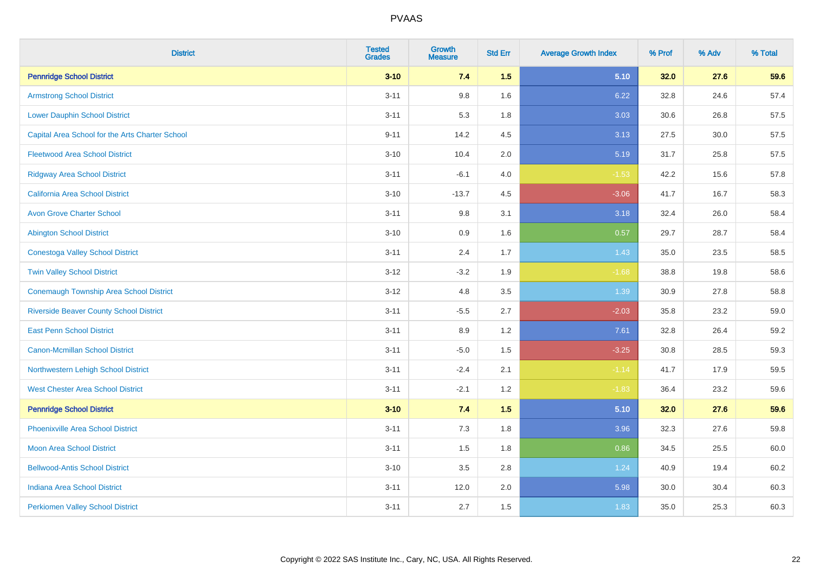| <b>District</b>                                 | <b>Tested</b><br><b>Grades</b> | <b>Growth</b><br><b>Measure</b> | <b>Std Err</b> | <b>Average Growth Index</b> | % Prof | % Adv | % Total |
|-------------------------------------------------|--------------------------------|---------------------------------|----------------|-----------------------------|--------|-------|---------|
| <b>Pennridge School District</b>                | $3 - 10$                       | 7.4                             | 1.5            | 5.10                        | 32.0   | 27.6  | 59.6    |
| <b>Armstrong School District</b>                | $3 - 11$                       | 9.8                             | 1.6            | 6.22                        | 32.8   | 24.6  | 57.4    |
| <b>Lower Dauphin School District</b>            | $3 - 11$                       | 5.3                             | 1.8            | 3.03                        | 30.6   | 26.8  | 57.5    |
| Capital Area School for the Arts Charter School | $9 - 11$                       | 14.2                            | 4.5            | 3.13                        | 27.5   | 30.0  | 57.5    |
| <b>Fleetwood Area School District</b>           | $3 - 10$                       | 10.4                            | 2.0            | 5.19                        | 31.7   | 25.8  | 57.5    |
| <b>Ridgway Area School District</b>             | $3 - 11$                       | $-6.1$                          | 4.0            | $-1.53$                     | 42.2   | 15.6  | 57.8    |
| California Area School District                 | $3 - 10$                       | $-13.7$                         | 4.5            | $-3.06$                     | 41.7   | 16.7  | 58.3    |
| <b>Avon Grove Charter School</b>                | $3 - 11$                       | 9.8                             | 3.1            | 3.18                        | 32.4   | 26.0  | 58.4    |
| <b>Abington School District</b>                 | $3 - 10$                       | 0.9                             | 1.6            | 0.57                        | 29.7   | 28.7  | 58.4    |
| <b>Conestoga Valley School District</b>         | $3 - 11$                       | 2.4                             | 1.7            | 1.43                        | 35.0   | 23.5  | 58.5    |
| <b>Twin Valley School District</b>              | $3 - 12$                       | $-3.2$                          | 1.9            | $-1.68$                     | 38.8   | 19.8  | 58.6    |
| <b>Conemaugh Township Area School District</b>  | $3-12$                         | 4.8                             | 3.5            | 1.39                        | 30.9   | 27.8  | 58.8    |
| <b>Riverside Beaver County School District</b>  | $3 - 11$                       | $-5.5$                          | 2.7            | $-2.03$                     | 35.8   | 23.2  | 59.0    |
| <b>East Penn School District</b>                | $3 - 11$                       | 8.9                             | 1.2            | 7.61                        | 32.8   | 26.4  | 59.2    |
| <b>Canon-Mcmillan School District</b>           | $3 - 11$                       | $-5.0$                          | 1.5            | $-3.25$                     | 30.8   | 28.5  | 59.3    |
| Northwestern Lehigh School District             | $3 - 11$                       | $-2.4$                          | 2.1            | $-1.14$                     | 41.7   | 17.9  | 59.5    |
| <b>West Chester Area School District</b>        | $3 - 11$                       | $-2.1$                          | 1.2            | $-1.83$                     | 36.4   | 23.2  | 59.6    |
| <b>Pennridge School District</b>                | $3 - 10$                       | 7.4                             | 1.5            | 5.10                        | 32.0   | 27.6  | 59.6    |
| <b>Phoenixville Area School District</b>        | $3 - 11$                       | 7.3                             | 1.8            | 3.96                        | 32.3   | 27.6  | 59.8    |
| <b>Moon Area School District</b>                | $3 - 11$                       | 1.5                             | 1.8            | 0.86                        | 34.5   | 25.5  | 60.0    |
| <b>Bellwood-Antis School District</b>           | $3 - 10$                       | 3.5                             | 2.8            | 1.24                        | 40.9   | 19.4  | 60.2    |
| <b>Indiana Area School District</b>             | $3 - 11$                       | 12.0                            | 2.0            | 5.98                        | 30.0   | 30.4  | 60.3    |
| <b>Perkiomen Valley School District</b>         | $3 - 11$                       | 2.7                             | 1.5            | 1.83                        | 35.0   | 25.3  | 60.3    |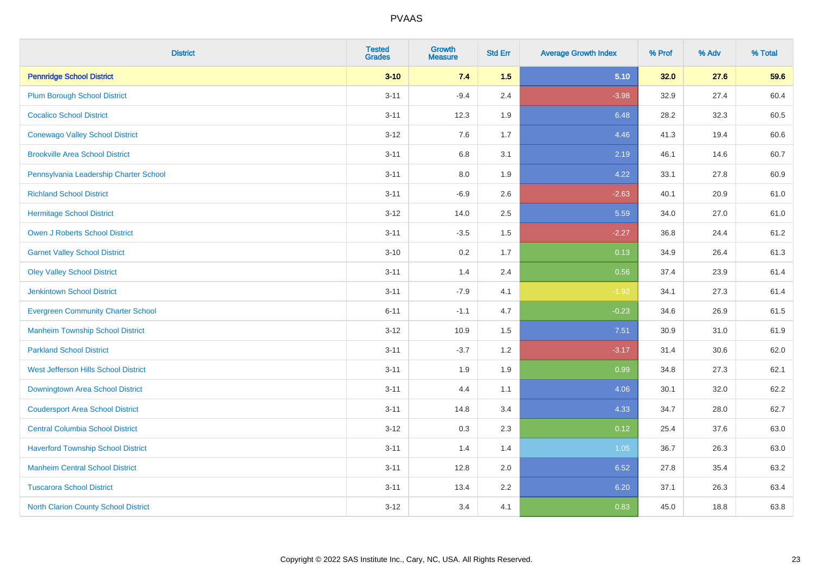| <b>District</b>                           | <b>Tested</b><br><b>Grades</b> | Growth<br><b>Measure</b> | <b>Std Err</b> | <b>Average Growth Index</b> | % Prof | % Adv | % Total |
|-------------------------------------------|--------------------------------|--------------------------|----------------|-----------------------------|--------|-------|---------|
| <b>Pennridge School District</b>          | $3 - 10$                       | 7.4                      | 1.5            | 5.10                        | 32.0   | 27.6  | 59.6    |
| <b>Plum Borough School District</b>       | $3 - 11$                       | $-9.4$                   | 2.4            | $-3.98$                     | 32.9   | 27.4  | 60.4    |
| <b>Cocalico School District</b>           | $3 - 11$                       | 12.3                     | 1.9            | 6.48                        | 28.2   | 32.3  | 60.5    |
| <b>Conewago Valley School District</b>    | $3 - 12$                       | 7.6                      | 1.7            | 4.46                        | 41.3   | 19.4  | 60.6    |
| <b>Brookville Area School District</b>    | $3 - 11$                       | 6.8                      | 3.1            | 2.19                        | 46.1   | 14.6  | 60.7    |
| Pennsylvania Leadership Charter School    | $3 - 11$                       | 8.0                      | 1.9            | 4.22                        | 33.1   | 27.8  | 60.9    |
| <b>Richland School District</b>           | $3 - 11$                       | $-6.9$                   | 2.6            | $-2.63$                     | 40.1   | 20.9  | 61.0    |
| <b>Hermitage School District</b>          | $3-12$                         | 14.0                     | 2.5            | 5.59                        | 34.0   | 27.0  | 61.0    |
| <b>Owen J Roberts School District</b>     | $3 - 11$                       | $-3.5$                   | 1.5            | $-2.27$                     | 36.8   | 24.4  | 61.2    |
| <b>Garnet Valley School District</b>      | $3 - 10$                       | 0.2                      | 1.7            | 0.13                        | 34.9   | 26.4  | 61.3    |
| <b>Oley Valley School District</b>        | $3 - 11$                       | 1.4                      | 2.4            | 0.56                        | 37.4   | 23.9  | 61.4    |
| <b>Jenkintown School District</b>         | $3 - 11$                       | $-7.9$                   | 4.1            | $-1.92$                     | 34.1   | 27.3  | 61.4    |
| <b>Evergreen Community Charter School</b> | $6 - 11$                       | $-1.1$                   | 4.7            | $-0.23$                     | 34.6   | 26.9  | 61.5    |
| <b>Manheim Township School District</b>   | $3 - 12$                       | 10.9                     | 1.5            | 7.51                        | 30.9   | 31.0  | 61.9    |
| <b>Parkland School District</b>           | $3 - 11$                       | $-3.7$                   | 1.2            | $-3.17$                     | 31.4   | 30.6  | 62.0    |
| West Jefferson Hills School District      | $3 - 11$                       | 1.9                      | 1.9            | 0.99                        | 34.8   | 27.3  | 62.1    |
| Downingtown Area School District          | $3 - 11$                       | 4.4                      | 1.1            | 4.06                        | 30.1   | 32.0  | 62.2    |
| <b>Coudersport Area School District</b>   | $3 - 11$                       | 14.8                     | 3.4            | 4.33                        | 34.7   | 28.0  | 62.7    |
| <b>Central Columbia School District</b>   | $3 - 12$                       | 0.3                      | 2.3            | 0.12                        | 25.4   | 37.6  | 63.0    |
| <b>Haverford Township School District</b> | $3 - 11$                       | 1.4                      | 1.4            | $1.05$                      | 36.7   | 26.3  | 63.0    |
| <b>Manheim Central School District</b>    | $3 - 11$                       | 12.8                     | 2.0            | 6.52                        | 27.8   | 35.4  | 63.2    |
| <b>Tuscarora School District</b>          | $3 - 11$                       | 13.4                     | 2.2            | 6.20                        | 37.1   | 26.3  | 63.4    |
| North Clarion County School District      | $3 - 12$                       | 3.4                      | 4.1            | 0.83                        | 45.0   | 18.8  | 63.8    |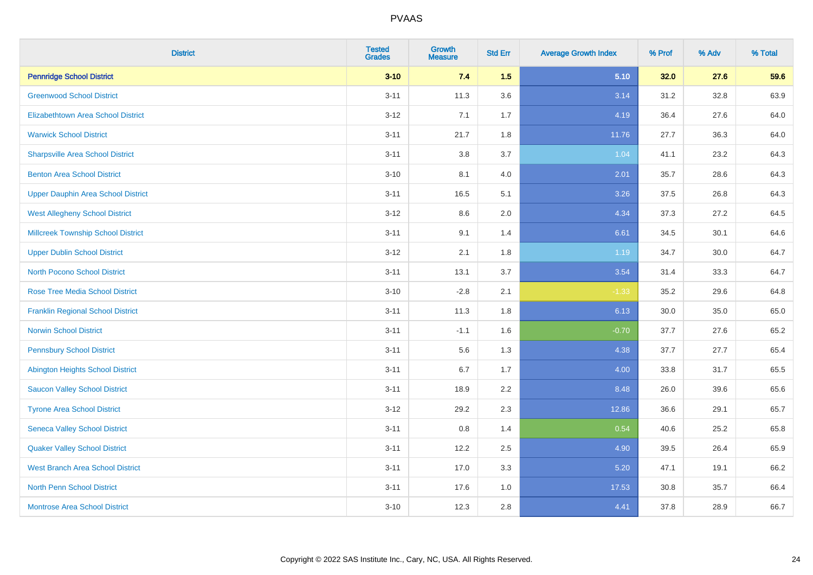| <b>District</b>                           | <b>Tested</b><br><b>Grades</b> | <b>Growth</b><br><b>Measure</b> | <b>Std Err</b> | <b>Average Growth Index</b> | % Prof | % Adv | % Total |
|-------------------------------------------|--------------------------------|---------------------------------|----------------|-----------------------------|--------|-------|---------|
| <b>Pennridge School District</b>          | $3 - 10$                       | 7.4                             | 1.5            | 5.10                        | 32.0   | 27.6  | 59.6    |
| <b>Greenwood School District</b>          | $3 - 11$                       | 11.3                            | 3.6            | 3.14                        | 31.2   | 32.8  | 63.9    |
| <b>Elizabethtown Area School District</b> | $3-12$                         | 7.1                             | 1.7            | 4.19                        | 36.4   | 27.6  | 64.0    |
| <b>Warwick School District</b>            | $3 - 11$                       | 21.7                            | 1.8            | 11.76                       | 27.7   | 36.3  | 64.0    |
| <b>Sharpsville Area School District</b>   | $3 - 11$                       | 3.8                             | 3.7            | 1.04                        | 41.1   | 23.2  | 64.3    |
| <b>Benton Area School District</b>        | $3 - 10$                       | 8.1                             | 4.0            | 2.01                        | 35.7   | 28.6  | 64.3    |
| <b>Upper Dauphin Area School District</b> | $3 - 11$                       | 16.5                            | 5.1            | 3.26                        | 37.5   | 26.8  | 64.3    |
| <b>West Allegheny School District</b>     | $3 - 12$                       | 8.6                             | 2.0            | 4.34                        | 37.3   | 27.2  | 64.5    |
| <b>Millcreek Township School District</b> | $3 - 11$                       | 9.1                             | 1.4            | 6.61                        | 34.5   | 30.1  | 64.6    |
| <b>Upper Dublin School District</b>       | $3 - 12$                       | 2.1                             | 1.8            | 1.19                        | 34.7   | 30.0  | 64.7    |
| North Pocono School District              | $3 - 11$                       | 13.1                            | 3.7            | 3.54                        | 31.4   | 33.3  | 64.7    |
| <b>Rose Tree Media School District</b>    | $3 - 10$                       | $-2.8$                          | 2.1            | $-1.33$                     | 35.2   | 29.6  | 64.8    |
| <b>Franklin Regional School District</b>  | $3 - 11$                       | 11.3                            | 1.8            | 6.13                        | 30.0   | 35.0  | 65.0    |
| <b>Norwin School District</b>             | $3 - 11$                       | $-1.1$                          | 1.6            | $-0.70$                     | 37.7   | 27.6  | 65.2    |
| <b>Pennsbury School District</b>          | $3 - 11$                       | 5.6                             | 1.3            | 4.38                        | 37.7   | 27.7  | 65.4    |
| <b>Abington Heights School District</b>   | $3 - 11$                       | 6.7                             | 1.7            | 4.00                        | 33.8   | 31.7  | 65.5    |
| <b>Saucon Valley School District</b>      | $3 - 11$                       | 18.9                            | 2.2            | 8.48                        | 26.0   | 39.6  | 65.6    |
| <b>Tyrone Area School District</b>        | $3 - 12$                       | 29.2                            | 2.3            | 12.86                       | 36.6   | 29.1  | 65.7    |
| <b>Seneca Valley School District</b>      | $3 - 11$                       | $0.8\,$                         | 1.4            | 0.54                        | 40.6   | 25.2  | 65.8    |
| <b>Quaker Valley School District</b>      | $3 - 11$                       | 12.2                            | 2.5            | 4.90                        | 39.5   | 26.4  | 65.9    |
| <b>West Branch Area School District</b>   | $3 - 11$                       | 17.0                            | 3.3            | 5.20                        | 47.1   | 19.1  | 66.2    |
| <b>North Penn School District</b>         | $3 - 11$                       | 17.6                            | 1.0            | 17.53                       | 30.8   | 35.7  | 66.4    |
| <b>Montrose Area School District</b>      | $3 - 10$                       | 12.3                            | 2.8            | 4.41                        | 37.8   | 28.9  | 66.7    |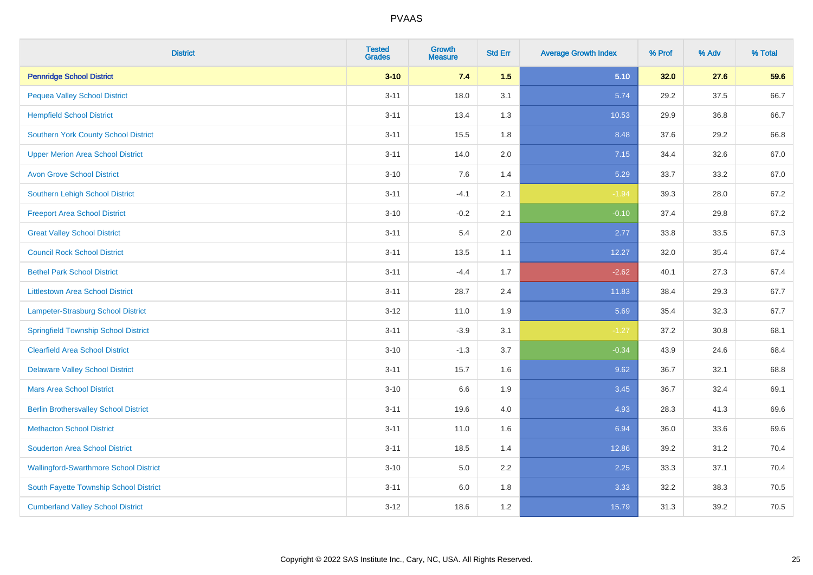| <b>District</b>                               | <b>Tested</b><br><b>Grades</b> | Growth<br><b>Measure</b> | <b>Std Err</b> | <b>Average Growth Index</b> | % Prof | % Adv | % Total |
|-----------------------------------------------|--------------------------------|--------------------------|----------------|-----------------------------|--------|-------|---------|
| <b>Pennridge School District</b>              | $3 - 10$                       | 7.4                      | 1.5            | 5.10                        | 32.0   | 27.6  | 59.6    |
| <b>Pequea Valley School District</b>          | $3 - 11$                       | 18.0                     | 3.1            | 5.74                        | 29.2   | 37.5  | 66.7    |
| <b>Hempfield School District</b>              | $3 - 11$                       | 13.4                     | 1.3            | 10.53                       | 29.9   | 36.8  | 66.7    |
| <b>Southern York County School District</b>   | $3 - 11$                       | 15.5                     | 1.8            | 8.48                        | 37.6   | 29.2  | 66.8    |
| <b>Upper Merion Area School District</b>      | $3 - 11$                       | 14.0                     | 2.0            | 7.15                        | 34.4   | 32.6  | 67.0    |
| <b>Avon Grove School District</b>             | $3 - 10$                       | 7.6                      | 1.4            | 5.29                        | 33.7   | 33.2  | 67.0    |
| <b>Southern Lehigh School District</b>        | $3 - 11$                       | $-4.1$                   | 2.1            | $-1.94$                     | 39.3   | 28.0  | 67.2    |
| <b>Freeport Area School District</b>          | $3 - 10$                       | $-0.2$                   | 2.1            | $-0.10$                     | 37.4   | 29.8  | 67.2    |
| <b>Great Valley School District</b>           | $3 - 11$                       | 5.4                      | 2.0            | 2.77                        | 33.8   | 33.5  | 67.3    |
| <b>Council Rock School District</b>           | $3 - 11$                       | 13.5                     | 1.1            | 12.27                       | 32.0   | 35.4  | 67.4    |
| <b>Bethel Park School District</b>            | $3 - 11$                       | $-4.4$                   | 1.7            | $-2.62$                     | 40.1   | 27.3  | 67.4    |
| <b>Littlestown Area School District</b>       | $3 - 11$                       | 28.7                     | 2.4            | 11.83                       | 38.4   | 29.3  | 67.7    |
| Lampeter-Strasburg School District            | $3 - 12$                       | 11.0                     | 1.9            | 5.69                        | 35.4   | 32.3  | 67.7    |
| <b>Springfield Township School District</b>   | $3 - 11$                       | $-3.9$                   | 3.1            | $-1.27$                     | 37.2   | 30.8  | 68.1    |
| <b>Clearfield Area School District</b>        | $3 - 10$                       | $-1.3$                   | 3.7            | $-0.34$                     | 43.9   | 24.6  | 68.4    |
| <b>Delaware Valley School District</b>        | $3 - 11$                       | 15.7                     | 1.6            | 9.62                        | 36.7   | 32.1  | 68.8    |
| <b>Mars Area School District</b>              | $3 - 10$                       | 6.6                      | 1.9            | 3.45                        | 36.7   | 32.4  | 69.1    |
| <b>Berlin Brothersvalley School District</b>  | $3 - 11$                       | 19.6                     | 4.0            | 4.93                        | 28.3   | 41.3  | 69.6    |
| <b>Methacton School District</b>              | $3 - 11$                       | 11.0                     | 1.6            | 6.94                        | 36.0   | 33.6  | 69.6    |
| <b>Souderton Area School District</b>         | $3 - 11$                       | 18.5                     | 1.4            | 12.86                       | 39.2   | 31.2  | 70.4    |
| <b>Wallingford-Swarthmore School District</b> | $3 - 10$                       | 5.0                      | 2.2            | 2.25                        | 33.3   | 37.1  | 70.4    |
| South Fayette Township School District        | $3 - 11$                       | 6.0                      | 1.8            | 3.33                        | 32.2   | 38.3  | 70.5    |
| <b>Cumberland Valley School District</b>      | $3 - 12$                       | 18.6                     | 1.2            | 15.79                       | 31.3   | 39.2  | 70.5    |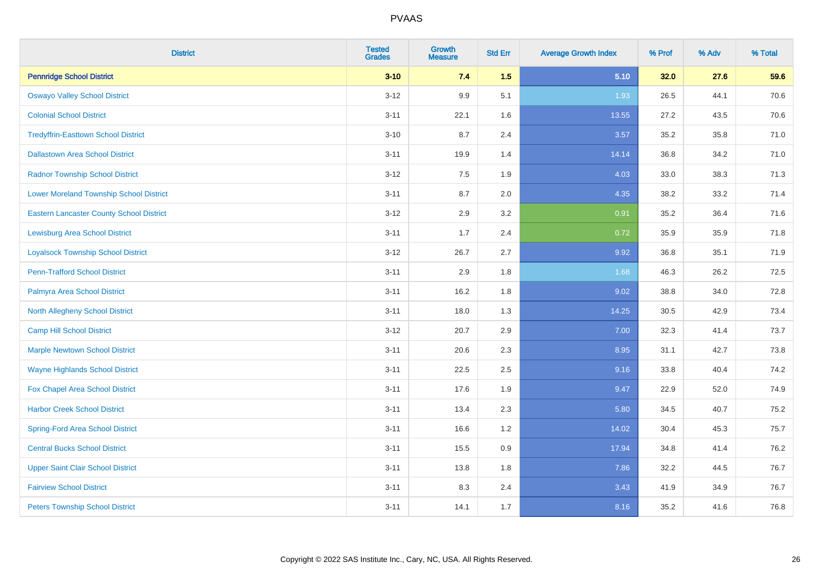| <b>District</b>                                 | <b>Tested</b><br><b>Grades</b> | Growth<br><b>Measure</b> | <b>Std Err</b> | <b>Average Growth Index</b> | % Prof | % Adv | % Total |
|-------------------------------------------------|--------------------------------|--------------------------|----------------|-----------------------------|--------|-------|---------|
| <b>Pennridge School District</b>                | $3 - 10$                       | 7.4                      | 1.5            | 5.10                        | 32.0   | 27.6  | 59.6    |
| <b>Oswayo Valley School District</b>            | $3 - 12$                       | 9.9                      | 5.1            | 1.93                        | 26.5   | 44.1  | 70.6    |
| <b>Colonial School District</b>                 | $3 - 11$                       | 22.1                     | 1.6            | 13.55                       | 27.2   | 43.5  | 70.6    |
| <b>Tredyffrin-Easttown School District</b>      | $3 - 10$                       | 8.7                      | 2.4            | 3.57                        | 35.2   | 35.8  | 71.0    |
| <b>Dallastown Area School District</b>          | $3 - 11$                       | 19.9                     | 1.4            | 14.14                       | 36.8   | 34.2  | 71.0    |
| <b>Radnor Township School District</b>          | $3 - 12$                       | 7.5                      | 1.9            | 4.03                        | 33.0   | 38.3  | 71.3    |
| <b>Lower Moreland Township School District</b>  | $3 - 11$                       | 8.7                      | 2.0            | 4.35                        | 38.2   | 33.2  | 71.4    |
| <b>Eastern Lancaster County School District</b> | $3 - 12$                       | 2.9                      | 3.2            | 0.91                        | 35.2   | 36.4  | 71.6    |
| <b>Lewisburg Area School District</b>           | $3 - 11$                       | 1.7                      | 2.4            | 0.72                        | 35.9   | 35.9  | 71.8    |
| <b>Loyalsock Township School District</b>       | $3 - 12$                       | 26.7                     | 2.7            | 9.92                        | 36.8   | 35.1  | 71.9    |
| <b>Penn-Trafford School District</b>            | $3 - 11$                       | 2.9                      | 1.8            | 1.68                        | 46.3   | 26.2  | 72.5    |
| Palmyra Area School District                    | $3 - 11$                       | 16.2                     | 1.8            | 9.02                        | 38.8   | 34.0  | 72.8    |
| North Allegheny School District                 | $3 - 11$                       | 18.0                     | 1.3            | 14.25                       | 30.5   | 42.9  | 73.4    |
| <b>Camp Hill School District</b>                | $3 - 12$                       | 20.7                     | 2.9            | 7.00                        | 32.3   | 41.4  | 73.7    |
| <b>Marple Newtown School District</b>           | $3 - 11$                       | 20.6                     | 2.3            | 8.95                        | 31.1   | 42.7  | 73.8    |
| <b>Wayne Highlands School District</b>          | $3 - 11$                       | 22.5                     | 2.5            | 9.16                        | 33.8   | 40.4  | 74.2    |
| Fox Chapel Area School District                 | $3 - 11$                       | 17.6                     | 1.9            | 9.47                        | 22.9   | 52.0  | 74.9    |
| <b>Harbor Creek School District</b>             | $3 - 11$                       | 13.4                     | 2.3            | 5.80                        | 34.5   | 40.7  | 75.2    |
| <b>Spring-Ford Area School District</b>         | $3 - 11$                       | 16.6                     | 1.2            | 14.02                       | 30.4   | 45.3  | 75.7    |
| <b>Central Bucks School District</b>            | $3 - 11$                       | 15.5                     | 0.9            | 17.94                       | 34.8   | 41.4  | 76.2    |
| <b>Upper Saint Clair School District</b>        | $3 - 11$                       | 13.8                     | 1.8            | 7.86                        | 32.2   | 44.5  | 76.7    |
| <b>Fairview School District</b>                 | $3 - 11$                       | 8.3                      | 2.4            | 3.43                        | 41.9   | 34.9  | 76.7    |
| <b>Peters Township School District</b>          | $3 - 11$                       | 14.1                     | 1.7            | 8.16                        | 35.2   | 41.6  | 76.8    |